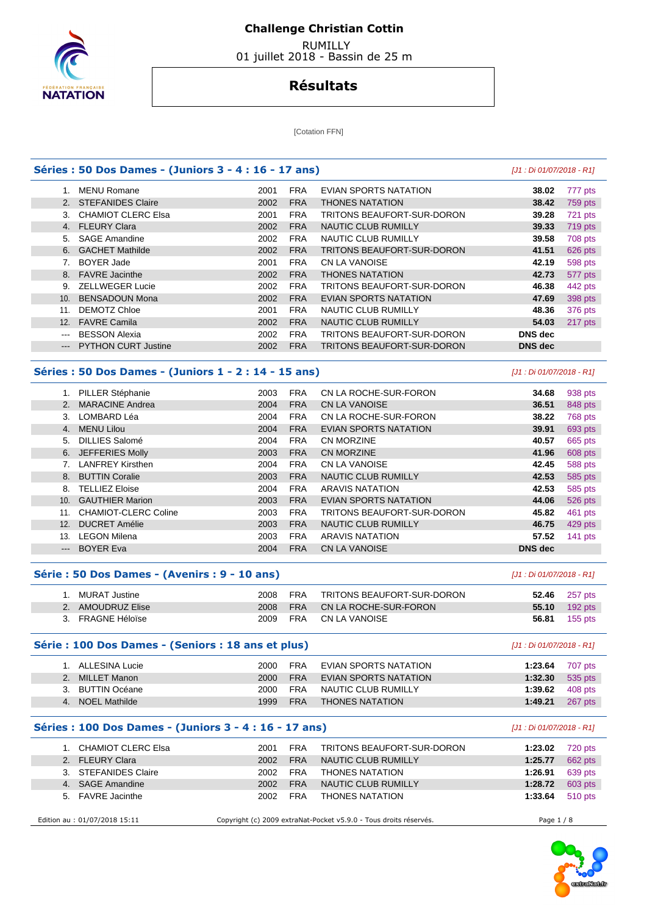

 RUMILLY 01 juillet 2018 - Bassin de 25 m

## **Résultats**

[Cotation FFN]

| 1. MENU Romane<br>2. STEFANIDES Claire<br>3. CHAMIOT CLERC Elsa<br>4. FLEURY Clara<br><b>SAGE Amandine</b><br><b>GACHET Mathilde</b><br><b>BOYER Jade</b> | 2001<br>2002<br>2001<br>2002<br>2002<br>2002                                                                                                                                                                                                                                                                                                                              | <b>FRA</b><br><b>FRA</b><br><b>FRA</b><br><b>FRA</b>                                                                                                                                          | EVIAN SPORTS NATATION<br><b>THONES NATATION</b><br>TRITONS BEAUFORT-SUR-DORON                                                                                                                                                                                                                                  | 38.02<br>38.42                                                                                                                                                                                                                                                                                                                                                                                                                                                                                                                                                                                             | 777 pts<br>759 pts                                                                                                                                                                                                                                                                       |
|-----------------------------------------------------------------------------------------------------------------------------------------------------------|---------------------------------------------------------------------------------------------------------------------------------------------------------------------------------------------------------------------------------------------------------------------------------------------------------------------------------------------------------------------------|-----------------------------------------------------------------------------------------------------------------------------------------------------------------------------------------------|----------------------------------------------------------------------------------------------------------------------------------------------------------------------------------------------------------------------------------------------------------------------------------------------------------------|------------------------------------------------------------------------------------------------------------------------------------------------------------------------------------------------------------------------------------------------------------------------------------------------------------------------------------------------------------------------------------------------------------------------------------------------------------------------------------------------------------------------------------------------------------------------------------------------------------|------------------------------------------------------------------------------------------------------------------------------------------------------------------------------------------------------------------------------------------------------------------------------------------|
|                                                                                                                                                           |                                                                                                                                                                                                                                                                                                                                                                           |                                                                                                                                                                                               |                                                                                                                                                                                                                                                                                                                |                                                                                                                                                                                                                                                                                                                                                                                                                                                                                                                                                                                                            |                                                                                                                                                                                                                                                                                          |
|                                                                                                                                                           |                                                                                                                                                                                                                                                                                                                                                                           |                                                                                                                                                                                               |                                                                                                                                                                                                                                                                                                                |                                                                                                                                                                                                                                                                                                                                                                                                                                                                                                                                                                                                            |                                                                                                                                                                                                                                                                                          |
|                                                                                                                                                           |                                                                                                                                                                                                                                                                                                                                                                           |                                                                                                                                                                                               |                                                                                                                                                                                                                                                                                                                | 39.28                                                                                                                                                                                                                                                                                                                                                                                                                                                                                                                                                                                                      | 721 pts                                                                                                                                                                                                                                                                                  |
|                                                                                                                                                           |                                                                                                                                                                                                                                                                                                                                                                           |                                                                                                                                                                                               | <b>NAUTIC CLUB RUMILLY</b>                                                                                                                                                                                                                                                                                     | 39.33                                                                                                                                                                                                                                                                                                                                                                                                                                                                                                                                                                                                      | 719 pts                                                                                                                                                                                                                                                                                  |
|                                                                                                                                                           |                                                                                                                                                                                                                                                                                                                                                                           | <b>FRA</b>                                                                                                                                                                                    | NAUTIC CLUB RUMILLY                                                                                                                                                                                                                                                                                            | 39.58                                                                                                                                                                                                                                                                                                                                                                                                                                                                                                                                                                                                      | 708 pts                                                                                                                                                                                                                                                                                  |
|                                                                                                                                                           |                                                                                                                                                                                                                                                                                                                                                                           | <b>FRA</b>                                                                                                                                                                                    | TRITONS BEAUFORT-SUR-DORON                                                                                                                                                                                                                                                                                     | 41.51                                                                                                                                                                                                                                                                                                                                                                                                                                                                                                                                                                                                      | 626 pts                                                                                                                                                                                                                                                                                  |
|                                                                                                                                                           | 2001                                                                                                                                                                                                                                                                                                                                                                      | <b>FRA</b>                                                                                                                                                                                    | <b>CN LA VANOISE</b>                                                                                                                                                                                                                                                                                           | 42.19                                                                                                                                                                                                                                                                                                                                                                                                                                                                                                                                                                                                      | 598 pts                                                                                                                                                                                                                                                                                  |
| 8. FAVRE Jacinthe                                                                                                                                         | 2002                                                                                                                                                                                                                                                                                                                                                                      | <b>FRA</b>                                                                                                                                                                                    | <b>THONES NATATION</b>                                                                                                                                                                                                                                                                                         | 42.73                                                                                                                                                                                                                                                                                                                                                                                                                                                                                                                                                                                                      | 577 pts                                                                                                                                                                                                                                                                                  |
| 9. ZELLWEGER Lucie                                                                                                                                        | 2002                                                                                                                                                                                                                                                                                                                                                                      | <b>FRA</b>                                                                                                                                                                                    | TRITONS BEAUFORT-SUR-DORON                                                                                                                                                                                                                                                                                     | 46.38                                                                                                                                                                                                                                                                                                                                                                                                                                                                                                                                                                                                      | 442 pts                                                                                                                                                                                                                                                                                  |
| <b>BENSADOUN Mona</b>                                                                                                                                     | 2002                                                                                                                                                                                                                                                                                                                                                                      | <b>FRA</b>                                                                                                                                                                                    | <b>EVIAN SPORTS NATATION</b>                                                                                                                                                                                                                                                                                   | 47.69                                                                                                                                                                                                                                                                                                                                                                                                                                                                                                                                                                                                      | 398 pts                                                                                                                                                                                                                                                                                  |
| 11. DEMOTZ Chloe                                                                                                                                          | 2001                                                                                                                                                                                                                                                                                                                                                                      | <b>FRA</b>                                                                                                                                                                                    | NAUTIC CLUB RUMILLY                                                                                                                                                                                                                                                                                            | 48.36                                                                                                                                                                                                                                                                                                                                                                                                                                                                                                                                                                                                      | 376 pts                                                                                                                                                                                                                                                                                  |
| <b>FAVRE Camila</b>                                                                                                                                       | 2002                                                                                                                                                                                                                                                                                                                                                                      | <b>FRA</b>                                                                                                                                                                                    | NAUTIC CLUB RUMILLY                                                                                                                                                                                                                                                                                            | 54.03                                                                                                                                                                                                                                                                                                                                                                                                                                                                                                                                                                                                      | 217 pts                                                                                                                                                                                                                                                                                  |
| <b>BESSON Alexia</b>                                                                                                                                      | 2002                                                                                                                                                                                                                                                                                                                                                                      | <b>FRA</b>                                                                                                                                                                                    | TRITONS BEAUFORT-SUR-DORON                                                                                                                                                                                                                                                                                     | <b>DNS</b> dec                                                                                                                                                                                                                                                                                                                                                                                                                                                                                                                                                                                             |                                                                                                                                                                                                                                                                                          |
| <b>PYTHON CURT Justine</b>                                                                                                                                | 2002                                                                                                                                                                                                                                                                                                                                                                      | <b>FRA</b>                                                                                                                                                                                    | TRITONS BEAUFORT-SUR-DORON                                                                                                                                                                                                                                                                                     | <b>DNS</b> dec                                                                                                                                                                                                                                                                                                                                                                                                                                                                                                                                                                                             |                                                                                                                                                                                                                                                                                          |
|                                                                                                                                                           |                                                                                                                                                                                                                                                                                                                                                                           |                                                                                                                                                                                               |                                                                                                                                                                                                                                                                                                                |                                                                                                                                                                                                                                                                                                                                                                                                                                                                                                                                                                                                            |                                                                                                                                                                                                                                                                                          |
|                                                                                                                                                           |                                                                                                                                                                                                                                                                                                                                                                           |                                                                                                                                                                                               |                                                                                                                                                                                                                                                                                                                |                                                                                                                                                                                                                                                                                                                                                                                                                                                                                                                                                                                                            | 938 pts                                                                                                                                                                                                                                                                                  |
| <b>MARACINE Andrea</b>                                                                                                                                    |                                                                                                                                                                                                                                                                                                                                                                           |                                                                                                                                                                                               |                                                                                                                                                                                                                                                                                                                |                                                                                                                                                                                                                                                                                                                                                                                                                                                                                                                                                                                                            | 848 pts                                                                                                                                                                                                                                                                                  |
|                                                                                                                                                           |                                                                                                                                                                                                                                                                                                                                                                           |                                                                                                                                                                                               |                                                                                                                                                                                                                                                                                                                |                                                                                                                                                                                                                                                                                                                                                                                                                                                                                                                                                                                                            | 768 pts                                                                                                                                                                                                                                                                                  |
|                                                                                                                                                           |                                                                                                                                                                                                                                                                                                                                                                           |                                                                                                                                                                                               |                                                                                                                                                                                                                                                                                                                |                                                                                                                                                                                                                                                                                                                                                                                                                                                                                                                                                                                                            | 693 pts                                                                                                                                                                                                                                                                                  |
|                                                                                                                                                           |                                                                                                                                                                                                                                                                                                                                                                           |                                                                                                                                                                                               |                                                                                                                                                                                                                                                                                                                |                                                                                                                                                                                                                                                                                                                                                                                                                                                                                                                                                                                                            | 665 pts                                                                                                                                                                                                                                                                                  |
|                                                                                                                                                           |                                                                                                                                                                                                                                                                                                                                                                           |                                                                                                                                                                                               |                                                                                                                                                                                                                                                                                                                |                                                                                                                                                                                                                                                                                                                                                                                                                                                                                                                                                                                                            | 608 pts                                                                                                                                                                                                                                                                                  |
|                                                                                                                                                           |                                                                                                                                                                                                                                                                                                                                                                           |                                                                                                                                                                                               |                                                                                                                                                                                                                                                                                                                |                                                                                                                                                                                                                                                                                                                                                                                                                                                                                                                                                                                                            | 588 pts                                                                                                                                                                                                                                                                                  |
|                                                                                                                                                           |                                                                                                                                                                                                                                                                                                                                                                           |                                                                                                                                                                                               |                                                                                                                                                                                                                                                                                                                |                                                                                                                                                                                                                                                                                                                                                                                                                                                                                                                                                                                                            | 585 pts                                                                                                                                                                                                                                                                                  |
|                                                                                                                                                           |                                                                                                                                                                                                                                                                                                                                                                           |                                                                                                                                                                                               |                                                                                                                                                                                                                                                                                                                |                                                                                                                                                                                                                                                                                                                                                                                                                                                                                                                                                                                                            | 585 pts                                                                                                                                                                                                                                                                                  |
|                                                                                                                                                           |                                                                                                                                                                                                                                                                                                                                                                           |                                                                                                                                                                                               |                                                                                                                                                                                                                                                                                                                |                                                                                                                                                                                                                                                                                                                                                                                                                                                                                                                                                                                                            | 526 pts                                                                                                                                                                                                                                                                                  |
|                                                                                                                                                           |                                                                                                                                                                                                                                                                                                                                                                           |                                                                                                                                                                                               |                                                                                                                                                                                                                                                                                                                |                                                                                                                                                                                                                                                                                                                                                                                                                                                                                                                                                                                                            | 461 pts                                                                                                                                                                                                                                                                                  |
|                                                                                                                                                           |                                                                                                                                                                                                                                                                                                                                                                           |                                                                                                                                                                                               |                                                                                                                                                                                                                                                                                                                |                                                                                                                                                                                                                                                                                                                                                                                                                                                                                                                                                                                                            | 429 pts                                                                                                                                                                                                                                                                                  |
|                                                                                                                                                           |                                                                                                                                                                                                                                                                                                                                                                           |                                                                                                                                                                                               |                                                                                                                                                                                                                                                                                                                |                                                                                                                                                                                                                                                                                                                                                                                                                                                                                                                                                                                                            | 141 $pts$                                                                                                                                                                                                                                                                                |
| <b>BOYER Eva</b>                                                                                                                                          | 2004                                                                                                                                                                                                                                                                                                                                                                      | <b>FRA</b>                                                                                                                                                                                    | <b>CN LA VANOISE</b>                                                                                                                                                                                                                                                                                           | <b>DNS</b> dec                                                                                                                                                                                                                                                                                                                                                                                                                                                                                                                                                                                             |                                                                                                                                                                                                                                                                                          |
|                                                                                                                                                           |                                                                                                                                                                                                                                                                                                                                                                           |                                                                                                                                                                                               |                                                                                                                                                                                                                                                                                                                |                                                                                                                                                                                                                                                                                                                                                                                                                                                                                                                                                                                                            |                                                                                                                                                                                                                                                                                          |
|                                                                                                                                                           |                                                                                                                                                                                                                                                                                                                                                                           |                                                                                                                                                                                               |                                                                                                                                                                                                                                                                                                                |                                                                                                                                                                                                                                                                                                                                                                                                                                                                                                                                                                                                            | 257 pts                                                                                                                                                                                                                                                                                  |
|                                                                                                                                                           |                                                                                                                                                                                                                                                                                                                                                                           |                                                                                                                                                                                               |                                                                                                                                                                                                                                                                                                                |                                                                                                                                                                                                                                                                                                                                                                                                                                                                                                                                                                                                            | 192 pts                                                                                                                                                                                                                                                                                  |
| 3. FRAGNE Héloïse                                                                                                                                         | 2009                                                                                                                                                                                                                                                                                                                                                                      | <b>FRA</b>                                                                                                                                                                                    | <b>CN LA VANOISE</b>                                                                                                                                                                                                                                                                                           | 56.81                                                                                                                                                                                                                                                                                                                                                                                                                                                                                                                                                                                                      | $155$ pts                                                                                                                                                                                                                                                                                |
|                                                                                                                                                           |                                                                                                                                                                                                                                                                                                                                                                           |                                                                                                                                                                                               |                                                                                                                                                                                                                                                                                                                |                                                                                                                                                                                                                                                                                                                                                                                                                                                                                                                                                                                                            |                                                                                                                                                                                                                                                                                          |
| 1. ALLESINA Lucie                                                                                                                                         | 2000                                                                                                                                                                                                                                                                                                                                                                      | <b>FRA</b>                                                                                                                                                                                    | EVIAN SPORTS NATATION                                                                                                                                                                                                                                                                                          | 1:23.64                                                                                                                                                                                                                                                                                                                                                                                                                                                                                                                                                                                                    | 707 pts                                                                                                                                                                                                                                                                                  |
|                                                                                                                                                           |                                                                                                                                                                                                                                                                                                                                                                           |                                                                                                                                                                                               |                                                                                                                                                                                                                                                                                                                |                                                                                                                                                                                                                                                                                                                                                                                                                                                                                                                                                                                                            | 535 pts                                                                                                                                                                                                                                                                                  |
|                                                                                                                                                           |                                                                                                                                                                                                                                                                                                                                                                           |                                                                                                                                                                                               |                                                                                                                                                                                                                                                                                                                |                                                                                                                                                                                                                                                                                                                                                                                                                                                                                                                                                                                                            | 408 pts                                                                                                                                                                                                                                                                                  |
|                                                                                                                                                           |                                                                                                                                                                                                                                                                                                                                                                           |                                                                                                                                                                                               |                                                                                                                                                                                                                                                                                                                |                                                                                                                                                                                                                                                                                                                                                                                                                                                                                                                                                                                                            | 267 pts                                                                                                                                                                                                                                                                                  |
|                                                                                                                                                           | 1. PILLER Stéphanie<br>3. LOMBARD Léa<br>4. MENU Lilou<br><b>DILLIES Salomé</b><br>6. JEFFERIES Molly<br>7. LANFREY Kirsthen<br>8. BUTTIN Coralie<br>8. TELLIEZ Eloise<br>10. GAUTHIER Marion<br>11. CHAMIOT-CLERC Coline<br><b>DUCRET Amélie</b><br>13. LEGON Milena<br>1. MURAT Justine<br>2. AMOUDRUZ Elise<br>2. MILLET Manon<br>3. BUTTIN Océane<br>4. NOEL Mathilde | 2003<br>2004<br>2004<br>2004<br>2004<br>2003<br>2004<br>2003<br>2004<br>2003<br>2003<br>2003<br>2003<br>Série : 50 Dos Dames - (Avenirs : 9 - 10 ans)<br>2008<br>2008<br>2000<br>2000<br>1999 | <b>FRA</b><br><b>FRA</b><br><b>FRA</b><br><b>FRA</b><br><b>FRA</b><br><b>FRA</b><br><b>FRA</b><br><b>FRA</b><br><b>FRA</b><br><b>FRA</b><br><b>FRA</b><br><b>FRA</b><br><b>FRA</b><br><b>FRA</b><br><b>FRA</b><br>Série : 100 Dos Dames - (Seniors : 18 ans et plus)<br><b>FRA</b><br><b>FRA</b><br><b>FRA</b> | Séries : 50 Dos Dames - (Juniors 1 - 2 : 14 - 15 ans)<br>CN LA ROCHE-SUR-FORON<br><b>CN LA VANOISE</b><br>CN LA ROCHE-SUR-FORON<br><b>EVIAN SPORTS NATATION</b><br><b>CN MORZINE</b><br><b>CN MORZINE</b><br><b>CN LA VANOISE</b><br>NAUTIC CLUB RUMILLY<br><b>ARAVIS NATATION</b><br><b>EVIAN SPORTS NATATION</b><br>TRITONS BEAUFORT-SUR-DORON<br><b>NAUTIC CLUB RUMILLY</b><br><b>ARAVIS NATATION</b><br>TRITONS BEAUFORT-SUR-DORON<br>CN LA ROCHE-SUR-FORON<br><b>EVIAN SPORTS NATATION</b><br>NAUTIC CLUB RUMILLY<br><b>THONES NATATION</b><br>Séries : 100 Dos Dames - (Juniors 3 - 4 : 16 - 17 ans) | [J1 : Di 01/07/2018 - R1]<br>34.68<br>36.51<br>38.22<br>39.91<br>40.57<br>41.96<br>42.45<br>42.53<br>42.53<br>44.06<br>45.82<br>46.75<br>57.52<br>[J1 : Di 01/07/2018 - R1]<br>52.46<br>55.10<br>[J1 : Di 01/07/2018 - R1]<br>1:32.30<br>1:39.62<br>1:49.21<br>[J1 : Di 01/07/2018 - R1] |

| 1. CHAMIOT CLERC Elsa | 2001 | <b>FRA</b> | TRITONS BEAUFORT-SUR-DORON | 1:23.02 | 720 pts |
|-----------------------|------|------------|----------------------------|---------|---------|
| 2. FLEURY Clara       | 2002 | <b>FRA</b> | NAUTIC CLUB RUMILLY        | 1:25.77 | 662 pts |
| 3. STEFANIDES Claire  | 2002 | <b>FRA</b> | THONES NATATION            | 1:26.91 | 639 pts |
| 4. SAGE Amandine      | 2002 | <b>FRA</b> | NAUTIC CLUB RUMILLY        | 1:28.72 | 603 pts |
| 5. FAVRE Jacinthe     | 2002 | <b>FRA</b> | THONES NATATION            | 1:33.64 | 510 pts |
|                       |      |            |                            |         |         |

Edition au : 01/07/2018 15:11 Copyright (c) 2009 extraNat-Pocket v5.9.0 - Tous droits réservés. Page 1 / 8

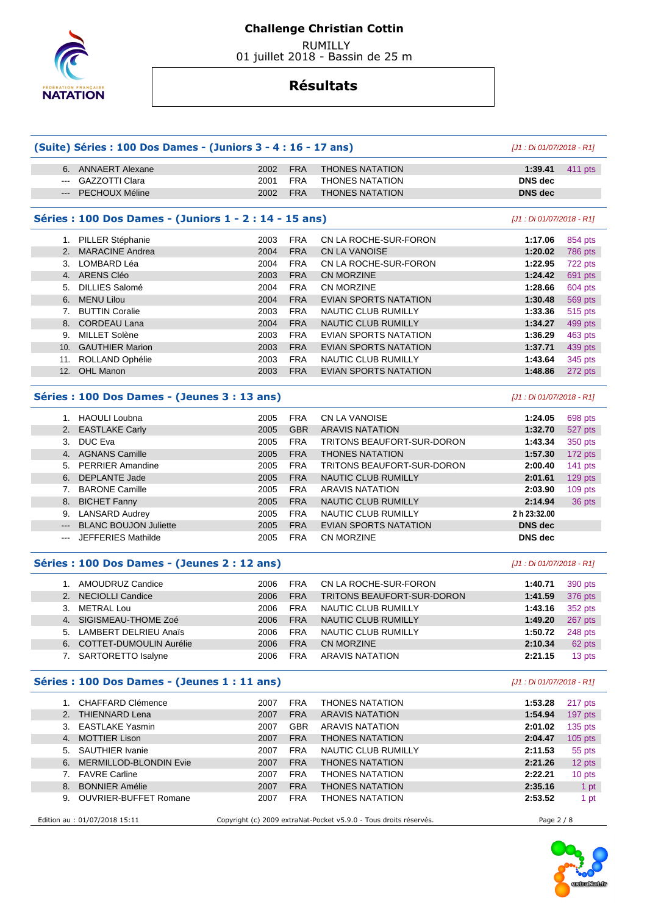

 RUMILLY 01 juillet 2018 - Bassin de 25 m

## **Résultats**

|               | (Suite) Séries : 100 Dos Dames - (Juniors 3 - 4 : 16 - 17 ans) |      |            |                              | [J1 : Di 01/07/2018 - R1] |                |
|---------------|----------------------------------------------------------------|------|------------|------------------------------|---------------------------|----------------|
|               | 6. ANNAERT Alexane                                             | 2002 | <b>FRA</b> | <b>THONES NATATION</b>       | 1:39.41                   | 411 pts        |
| $\frac{1}{2}$ | <b>GAZZOTTI Clara</b>                                          | 2001 | <b>FRA</b> | <b>THONES NATATION</b>       | <b>DNS</b> dec            |                |
| $---$         | PECHOUX Méline                                                 | 2002 | <b>FRA</b> | <b>THONES NATATION</b>       | <b>DNS</b> dec            |                |
|               | Séries : 100 Dos Dames - (Juniors 1 - 2 : 14 - 15 ans)         |      |            |                              | [J1 : Di 01/07/2018 - R1] |                |
|               | 1. PILLER Stéphanie                                            | 2003 | <b>FRA</b> | CN LA ROCHE-SUR-FORON        | 1:17.06                   | 854 pts        |
|               | 2. MARACINE Andrea                                             | 2004 | <b>FRA</b> | <b>CN LA VANOISE</b>         | 1:20.02                   | 786 pts        |
| 3.            | LOMBARD Léa                                                    | 2004 | <b>FRA</b> | CN LA ROCHE-SUR-FORON        | 1:22.95                   | 722 pts        |
|               | 4. ARENS Cléo                                                  | 2003 | <b>FRA</b> | <b>CN MORZINE</b>            | 1:24.42                   | 691 pts        |
| 5.            | <b>DILLIES Salomé</b>                                          | 2004 | <b>FRA</b> | <b>CN MORZINE</b>            | 1:28.66                   | 604 pts        |
| 6.            | <b>MENU Lilou</b>                                              | 2004 | <b>FRA</b> | EVIAN SPORTS NATATION        | 1:30.48                   | 569 pts        |
|               | 7. BUTTIN Coralie                                              | 2003 | <b>FRA</b> | NAUTIC CLUB RUMILLY          | 1:33.36                   | <b>515 pts</b> |
| 8.            | <b>CORDEAU Lana</b>                                            | 2004 | <b>FRA</b> | NAUTIC CLUB RUMILLY          | 1:34.27                   | 499 pts        |
| 9.            | MILLET Solène                                                  | 2003 | <b>FRA</b> | EVIAN SPORTS NATATION        | 1:36.29                   | 463 pts        |
| 10.           | <b>GAUTHIER Marion</b>                                         | 2003 | <b>FRA</b> | <b>EVIAN SPORTS NATATION</b> | 1:37.71                   | 439 pts        |
|               | 11. ROLLAND Ophélie                                            | 2003 | <b>FRA</b> | NAUTIC CLUB RUMILLY          | 1:43.64                   | 345 pts        |
|               | 12. OHL Manon                                                  | 2003 | <b>FRA</b> | <b>EVIAN SPORTS NATATION</b> | 1:48.86                   | 272 pts        |
|               | Séries : 100 Dos Dames - (Jeunes 3 : 13 ans)                   |      |            |                              | [J1 : Di 01/07/2018 - R1] |                |
|               |                                                                |      |            |                              |                           |                |
|               | 1. HAOULI Loubna                                               | 2005 | <b>FRA</b> | <b>CN LA VANOISE</b>         | 1:24.05                   | 698 pts        |
|               | 2. EASTLAKE Carly                                              | 2005 | <b>GBR</b> | <b>ARAVIS NATATION</b>       | 1:32.70                   | 527 pts        |
|               | 3. DUC Eva                                                     | 2005 | <b>FRA</b> | TRITONS BEAUFORT-SUR-DORON   | 1:43.34                   | 350 pts        |
|               | 4. AGNANS Camille                                              | 2005 | <b>FRA</b> | <b>THONES NATATION</b>       | 1:57.30                   | 172 pts        |
|               | 5. PERRIER Amandine                                            | 2005 | <b>FRA</b> | TRITONS BEAUFORT-SUR-DORON   | 2:00.40                   | 141 pts        |
| 6.            | <b>DEPLANTE Jade</b>                                           | 2005 | <b>FRA</b> | <b>NAUTIC CLUB RUMILLY</b>   | 2:01.61                   | 129 pts        |
|               | 7. BARONE Camille                                              | 2005 | <b>FRA</b> | <b>ARAVIS NATATION</b>       | 2:03.90                   | 109 pts        |
|               | 8. BICHET Fanny                                                | 2005 | <b>FRA</b> | NAUTIC CLUB RUMILLY          | 2:14.94                   | 36 pts         |
|               | 9. LANSARD Audrey                                              | 2005 | <b>FRA</b> | NAUTIC CLUB RUMILLY          | 2 h 23:32.00              |                |
| $\cdots$      | <b>BLANC BOUJON Juliette</b>                                   | 2005 | <b>FRA</b> | EVIAN SPORTS NATATION        | <b>DNS</b> dec            |                |
| $\cdots$      | <b>JEFFERIES Mathilde</b>                                      | 2005 | <b>FRA</b> | CN MORZINE                   | <b>DNS</b> dec            |                |
|               | Séries : 100 Dos Dames - (Jeunes 2 : 12 ans)                   |      |            |                              | [J1 : Di 01/07/2018 - R1] |                |
|               | 1. AMOUDRUZ Candice                                            | 2006 | <b>FRA</b> | CN LA ROCHE-SUR-FORON        | 1:40.71                   | 390 pts        |
| 2.            | <b>NECIOLLI Candice</b>                                        | 2006 | <b>FRA</b> | TRITONS BEAUFORT-SUR-DORON   | 1:41.59                   | 376 pts        |
|               | 3. METRAL Lou                                                  | 2006 | <b>FRA</b> | NAUTIC CLUB RUMILLY          | 1:43.16                   | 352 pts        |
|               | 4. SIGISMEAU-THOME Zoé                                         | 2006 | <b>FRA</b> | NAUTIC CLUB RUMILLY          | 1:49.20                   | 267 pts        |
|               | 5. LAMBERT DELRIEU Anaïs                                       | 2006 | <b>FRA</b> | NAUTIC CLUB RUMILLY          | 1:50.72                   | 248 pts        |
|               | 6. COTTET-DUMOULIN Aurélie                                     | 2006 | <b>FRA</b> | CN MORZINE                   | 2:10.34                   | 62 pts         |
|               | 7. SARTORETTO Isalyne                                          | 2006 | <b>FRA</b> | <b>ARAVIS NATATION</b>       | 2:21.15                   | 13 pts         |
|               | Séries : 100 Dos Dames - (Jeunes 1 : 11 ans)                   |      |            |                              | [J1 : Di 01/07/2018 - R1] |                |
|               | 1. CHAFFARD Clémence                                           | 2007 | <b>FRA</b> | <b>THONES NATATION</b>       | 1:53.28                   | 217 pts        |
|               | 2. THIENNARD Lena                                              | 2007 | <b>FRA</b> | <b>ARAVIS NATATION</b>       | 1:54.94                   | 197 pts        |
|               | 3. EASTLAKE Yasmin                                             | 2007 | <b>GBR</b> | <b>ARAVIS NATATION</b>       | 2:01.02                   | 135 pts        |
| 4.            | <b>MOTTIER Lison</b>                                           | 2007 | <b>FRA</b> | <b>THONES NATATION</b>       | 2:04.47                   | $105$ pts      |
|               | 5. SAUTHIER Ivanie                                             | 2007 | <b>FRA</b> | NAUTIC CLUB RUMILLY          | 2:11.53                   | 55 pts         |
|               | 6. MERMILLOD-BLONDIN Evie                                      | 2007 | <b>FRA</b> | <b>THONES NATATION</b>       | 2:21.26                   | 12 pts         |
|               | 7. FAVRE Carline                                               | 2007 | <b>FRA</b> | <b>THONES NATATION</b>       | 2:22.21                   | 10 pts         |
| 8.            | <b>BONNIER Amélie</b>                                          | 2007 | <b>FRA</b> | <b>THONES NATATION</b>       | 2:35.16                   |                |
|               |                                                                |      |            |                              |                           |                |

Edition au : 01/07/2018 15:11 Copyright (c) 2009 extraNat-Pocket v5.9.0 - Tous droits réservés. Page 2 / 8

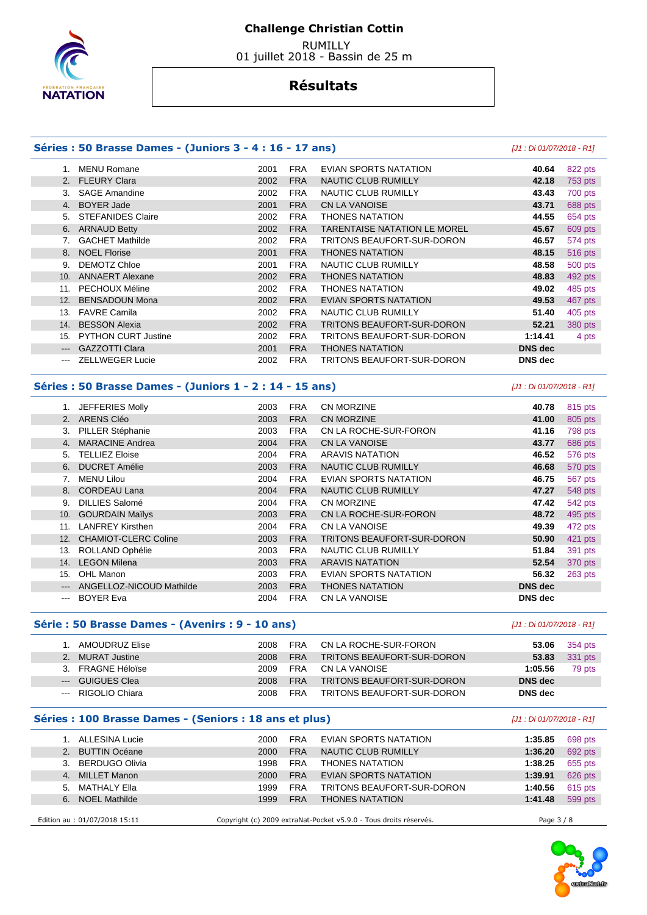

 RUMILLY 01 juillet 2018 - Bassin de 25 m

### **Résultats**

#### **Séries : 50 Brasse Dames - (Juniors 3 - 4 : 16 - 17 ans)** [J1 : Di 01/07/2018 - R1] 1. MENU Romane 2001 FRA EVIAN SPORTS NATATION **40.64** 822 pts 2. FLEURY Clara 2002 FRA NAUTIC CLUB RUMILLY **42.18** 753 pts 3. SAGE Amandine 2002 FRA NAUTIC CLUB RUMILLY **43.43** 700 pts 4. BOYER Jade 2001 FRA CN LA VANOISE **43.71** 688 pts 5. STEFANIDES Claire 2002 FRA THONES NATATION **44.55** 654 pts 6. ARNAUD Betty 2002 FRA TARENTAISE NATATION LE MOREL **45.67** 609 pts 7. GACHET Mathilde 2002 FRA TRITONS BEAUFORT-SUR-DORON **46.57** 574 pts 8. NOEL Florise 2001 FRA THONES NATATION **48.15** 516 pts 9. DEMOTZ Chloe 2001 FRA NAUTIC CLUB RUMILLY **48.58** 500 pts 10. ANNAERT Alexane 2002 FRA THONES NATATION **48.83** 492 pts 11. PECHOUX Méline 2002 FRA THONES NATATION **49.02** 485 pts 12. BENSADOUN Mona 2002 FRA EVIAN SPORTS NATATION **49.53** 467 pts 13. FAVRE Camila 2002 FRA NAUTIC CLUB RUMILLY **51.40** 405 pts 14. BESSON Alexia 2002 FRA TRITONS BEAUFORT-SUR-DORON **52.21** 380 pts 15. PYTHON CURT Justine 2002 FRA TRITONS BEAUFORT-SUR-DORON **1:14.41** 4 pts --- GAZZOTTI Clara 2001 FRA THONES NATATION **DNS dec**  --- ZELLWEGER Lucie 2002 FRA TRITONS BEAUFORT-SUR-DORON **DNS dec**

### **Séries : 50 Brasse Dames - (Juniors 1 - 2 : 14 - 15 ans)** [J1 : Di 01/07/2018 - R1]

|                        | JEFFERIES Molly             | 2003 | <b>FRA</b> | <b>CN MORZINE</b>          | 40.78          | 815 pts |
|------------------------|-----------------------------|------|------------|----------------------------|----------------|---------|
| 2.                     | ARENS Cléo                  | 2003 | <b>FRA</b> | <b>CN MORZINE</b>          | 41.00          | 805 pts |
|                        |                             |      |            |                            |                |         |
| 3.                     | PILLER Stéphanie            | 2003 | <b>FRA</b> | CN LA ROCHE-SUR-FORON      | 41.16          | 798 pts |
| 4.                     | <b>MARACINE Andrea</b>      | 2004 | <b>FRA</b> | <b>CN LA VANOISE</b>       | 43.77          | 686 pts |
| 5.                     | <b>TELLIEZ Eloise</b>       | 2004 | <b>FRA</b> | <b>ARAVIS NATATION</b>     | 46.52          | 576 pts |
| 6.                     | <b>DUCRET Amélie</b>        | 2003 | <b>FRA</b> | NAUTIC CLUB RUMILLY        | 46.68          | 570 pts |
|                        | <b>MENU Lilou</b>           | 2004 | <b>FRA</b> | EVIAN SPORTS NATATION      | 46.75          | 567 pts |
| 8.                     | <b>CORDEAU Lana</b>         | 2004 | <b>FRA</b> | <b>NAUTIC CLUB RUMILLY</b> | 47.27          | 548 pts |
| 9.                     | <b>DILLIES Salomé</b>       | 2004 | <b>FRA</b> | <b>CN MORZINE</b>          | 47.42          | 542 pts |
| 10.                    | <b>GOURDAIN Maïlys</b>      | 2003 | <b>FRA</b> | CN LA ROCHE-SUR-FORON      | 48.72          | 495 pts |
| 11.                    | <b>LANFREY Kirsthen</b>     | 2004 | <b>FRA</b> | CN LA VANOISE              | 49.39          | 472 pts |
| 12.                    | <b>CHAMIOT-CLERC Coline</b> | 2003 | <b>FRA</b> | TRITONS BEAUFORT-SUR-DORON | 50.90          | 421 pts |
| 13.                    | ROLLAND Ophélie             | 2003 | <b>FRA</b> | NAUTIC CLUB RUMILLY        | 51.84          | 391 pts |
| 14.                    | <b>LEGON Milena</b>         | 2003 | <b>FRA</b> | <b>ARAVIS NATATION</b>     | 52.54          | 370 pts |
| 15.                    | OHL Manon                   | 2003 | <b>FRA</b> | EVIAN SPORTS NATATION      | 56.32          | 263 pts |
| $---$                  | ANGELLOZ-NICOUD Mathilde    | 2003 | <b>FRA</b> | <b>THONES NATATION</b>     | <b>DNS</b> dec |         |
| $\qquad \qquad \cdots$ | <b>BOYER Eva</b>            | 2004 | <b>FRA</b> | <b>CN LA VANOISE</b>       | <b>DNS</b> dec |         |

#### **Série : 50 Brasse Dames - (Avenirs : 9 - 10 ans)** [J1 : Di 01/07/2018 - R1]

| AMOUDRUZ Elise     | 2008 | <b>FRA</b> | CN LA ROCHE-SUR-FORON      | 53.06   | 354 pts |
|--------------------|------|------------|----------------------------|---------|---------|
| 2. MURAT Justine   | 2008 | <b>FRA</b> | TRITONS BEAUFORT-SUR-DORON | 53.83   | 331 pts |
| 3. FRAGNE Héloïse  | 2009 | <b>FRA</b> | CN LA VANOISE              | 1:05.56 | 79 pts  |
| --- GUIGUES Clea   | 2008 | <b>FRA</b> | TRITONS BEAUFORT-SUR-DORON | DNS dec |         |
| --- RIGOLIO Chiara | 2008 | <b>FRA</b> | TRITONS BEAUFORT-SUR-DORON | DNS dec |         |

#### **Séries : 100 Brasse Dames - (Seniors : 18 ans et plus)** [J1 : Di 01/07/2018 - R1]

| 1. ALLESINA Lucie             | 2000 | <b>FRA</b> | EVIAN SPORTS NATATION                                             | 1:35.85    | 698 pts |
|-------------------------------|------|------------|-------------------------------------------------------------------|------------|---------|
| 2. BUTTIN Océane              | 2000 | <b>FRA</b> | NAUTIC CLUB RUMILLY                                               | 1:36.20    | 692 pts |
| 3. BERDUGO Olivia             | 1998 | <b>FRA</b> | <b>THONES NATATION</b>                                            | 1:38.25    | 655 pts |
| 4. MILLET Manon               | 2000 | <b>FRA</b> | EVIAN SPORTS NATATION                                             | 1:39.91    | 626 pts |
| 5. MATHALY Ella               | 1999 | <b>FRA</b> | TRITONS BEAUFORT-SUR-DORON                                        | 1:40.56    | 615 pts |
| 6. NOEL Mathilde              | 1999 | <b>FRA</b> | <b>THONES NATATION</b>                                            | 1:41.48    | 599 pts |
| Edition au : 01/07/2018 15:11 |      |            | Copyright (c) 2009 extraNat-Pocket v5.9.0 - Tous droits réservés. | Page 3 / 8 |         |

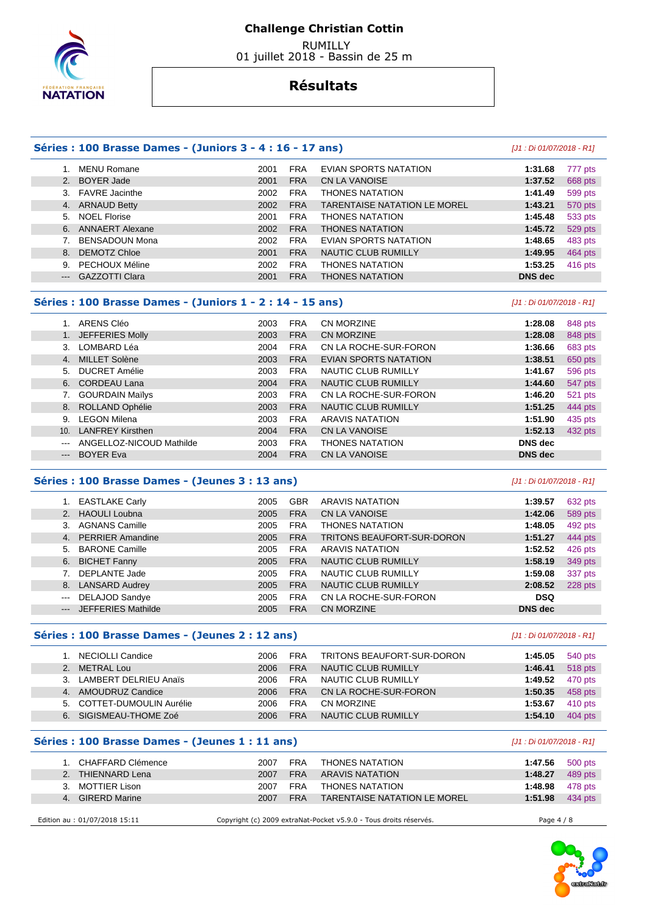

 RUMILLY 01 juillet 2018 - Bassin de 25 m

| 1. MENU Romane<br><b>FRA</b><br>EVIAN SPORTS NATATION<br>2001<br>1:31.68<br>777 pts<br>2. BOYER Jade<br><b>FRA</b><br>2001<br><b>CN LA VANOISE</b><br>1:37.52<br>668 pts<br>3. FAVRE Jacinthe<br><b>FRA</b><br>2002<br><b>THONES NATATION</b><br>1:41.49<br>599 pts<br><b>FRA</b><br>4. ARNAUD Betty<br>2002<br><b>TARENTAISE NATATION LE MOREL</b><br>1:43.21<br>570 pts<br>5. NOEL Florise<br><b>FRA</b><br>2001<br><b>THONES NATATION</b><br>1:45.48<br>533 pts<br>2002<br><b>FRA</b><br>1:45.72<br>6. ANNAERT Alexane<br><b>THONES NATATION</b><br>529 pts<br><b>FRA</b><br><b>BENSADOUN Mona</b><br>2002<br>EVIAN SPORTS NATATION<br>1:48.65<br>483 pts<br>7.<br><b>FRA</b><br><b>DEMOTZ Chloe</b><br>2001<br><b>NAUTIC CLUB RUMILLY</b><br>1:49.95<br>464 pts<br>8.<br>9. PECHOUX Méline<br><b>FRA</b><br>2002<br><b>THONES NATATION</b><br>1:53.25<br>416 pts<br><b>GAZZOTTI Clara</b><br><b>FRA</b><br><b>THONES NATATION</b><br>2001<br><b>DNS</b> dec<br>$---$<br>Séries : 100 Brasse Dames - (Juniors 1 - 2 : 14 - 15 ans)<br>[J1 : Di 01/07/2018 - R1]<br>1. ARENS Cléo<br>2003<br><b>FRA</b><br>CN MORZINE<br>1:28.08<br>848 pts<br><b>FRA</b><br>1. JEFFERIES Molly<br>2003<br><b>CN MORZINE</b><br>1:28.08<br>848 pts<br><b>FRA</b><br>3. LOMBARD Léa<br>2004<br>CN LA ROCHE-SUR-FORON<br>1:36.66<br>683 pts<br>2003<br><b>FRA</b><br>4. MILLET Solène<br><b>EVIAN SPORTS NATATION</b><br>1:38.51<br>650 pts<br><b>DUCRET Amélie</b><br><b>FRA</b><br>2003<br>NAUTIC CLUB RUMILLY<br>1:41.67<br>596 pts<br>5.<br>6. CORDEAU Lana<br><b>FRA</b><br>2004<br><b>NAUTIC CLUB RUMILLY</b><br>1:44.60<br>547 pts<br><b>FRA</b><br>7. GOURDAIN Maïlys<br>2003<br>CN LA ROCHE-SUR-FORON<br>1:46.20<br>521 pts<br>8. ROLLAND Ophélie<br><b>FRA</b><br>2003<br>NAUTIC CLUB RUMILLY<br>1:51.25<br>444 pts<br>9. LEGON Milena<br><b>FRA</b><br>2003<br><b>ARAVIS NATATION</b><br>1:51.90<br>435 pts<br><b>FRA</b><br>10. LANFREY Kirsthen<br>2004<br>CN LA VANOISE<br>1:52.13<br>432 pts<br><b>FRA</b><br><b>DNS</b> dec<br>ANGELLOZ-NICOUD Mathilde<br>2003<br><b>THONES NATATION</b><br>$\frac{1}{2} \left( \frac{1}{2} \right) \left( \frac{1}{2} \right) \left( \frac{1}{2} \right) \left( \frac{1}{2} \right) \left( \frac{1}{2} \right) \left( \frac{1}{2} \right) \left( \frac{1}{2} \right) \left( \frac{1}{2} \right) \left( \frac{1}{2} \right) \left( \frac{1}{2} \right) \left( \frac{1}{2} \right) \left( \frac{1}{2} \right) \left( \frac{1}{2} \right) \left( \frac{1}{2} \right) \left( \frac{1}{2} \right) \left( \frac{1}{2} \right) \left( \frac$<br><b>BOYER Eva</b><br>2004<br><b>FRA</b><br><b>CN LA VANOISE</b><br><b>DNS</b> dec<br>---<br>Séries : 100 Brasse Dames - (Jeunes 3 : 13 ans)<br>[J1 : Di 01/07/2018 - R1]<br>1. EASTLAKE Carly<br>2005<br><b>GBR</b><br><b>ARAVIS NATATION</b><br>1:39.57<br>632 pts<br><b>FRA</b><br>2. HAOULI Loubna<br>2005<br><b>CN LA VANOISE</b><br>1:42.06<br>589 pts<br>3. AGNANS Camille<br><b>FRA</b><br>2005<br><b>THONES NATATION</b><br>1:48.05<br>492 pts<br><b>FRA</b><br>4. PERRIER Amandine<br>2005<br>TRITONS BEAUFORT-SUR-DORON<br>1:51.27<br>444 pts<br>5. BARONE Camille<br>2005<br><b>FRA</b><br><b>ARAVIS NATATION</b><br>1:52.52<br>426 pts<br>6. BICHET Fanny<br>2005<br><b>FRA</b><br><b>NAUTIC CLUB RUMILLY</b><br>1:58.19<br>349 pts<br><b>FRA</b><br><b>DEPLANTE Jade</b><br>2005<br>NAUTIC CLUB RUMILLY<br>1:59.08<br>337 pts<br>7.<br><b>FRA</b><br>8. LANSARD Audrey<br>2005<br><b>NAUTIC CLUB RUMILLY</b><br>2:08.52<br>228 pts<br>DELAJOD Sandye<br><b>FRA</b><br><b>DSQ</b><br>2005<br>CN LA ROCHE-SUR-FORON<br>$\frac{1}{2} \left( \frac{1}{2} \right) \left( \frac{1}{2} \right) \left( \frac{1}{2} \right) \left( \frac{1}{2} \right) \left( \frac{1}{2} \right) \left( \frac{1}{2} \right) \left( \frac{1}{2} \right) \left( \frac{1}{2} \right) \left( \frac{1}{2} \right) \left( \frac{1}{2} \right) \left( \frac{1}{2} \right) \left( \frac{1}{2} \right) \left( \frac{1}{2} \right) \left( \frac{1}{2} \right) \left( \frac{1}{2} \right) \left( \frac{1}{2} \right) \left( \frac$<br><b>JEFFERIES Mathilde</b><br><b>FRA</b><br><b>DNS</b> dec<br>2005<br><b>CN MORZINE</b><br>$\qquad \qquad -\qquad -$<br>Séries : 100 Brasse Dames - (Jeunes 2 : 12 ans)<br>[J1 : Di 01/07/2018 - R1]<br>1. NECIOLLI Candice<br>2006<br><b>FRA</b><br>540 pts<br>TRITONS BEAUFORT-SUR-DORON<br>1:45.05<br>2. METRAL Lou<br>2006<br><b>FRA</b><br>NAUTIC CLUB RUMILLY<br>1:46.41<br>3. LAMBERT DELRIEU Anaïs<br>2006<br><b>FRA</b><br>NAUTIC CLUB RUMILLY<br>1:49.52<br><b>FRA</b><br>4. AMOUDRUZ Candice<br>2006<br>CN LA ROCHE-SUR-FORON<br>1:50.35<br>5. COTTET-DUMOULIN Aurélie<br>2006<br><b>FRA</b><br>CN MORZINE<br>1:53.67<br>6. SIGISMEAU-THOME Zoé<br><b>FRA</b><br>NAUTIC CLUB RUMILLY<br>2006<br>1:54.10<br>Séries : 100 Brasse Dames - (Jeunes 1 : 11 ans)<br>[J1 : Di 01/07/2018 - R1]<br>1. CHAFFARD Clémence<br><b>THONES NATATION</b><br>2007<br><b>FRA</b><br>1:47.56<br>500 pts<br><b>FRA</b><br>2. THIENNARD Lena<br>2007<br><b>ARAVIS NATATION</b><br>1:48.27<br>3. MOTTIER Lison<br><b>FRA</b><br><b>THONES NATATION</b><br>2007<br>1:48.98<br>4. GIRERD Marine<br>2007<br><b>FRA</b><br>TARENTAISE NATATION LE MOREL<br>1:51.98<br>Edition au : 01/07/2018 15:11<br>Copyright (c) 2009 extraNat-Pocket v5.9.0 - Tous droits réservés.<br>Page 4 / 8 | Séries : 100 Brasse Dames - (Juniors 3 - 4 : 16 - 17 ans) |  | [J1 : Di 01/07/2018 - R1] |         |
|-------------------------------------------------------------------------------------------------------------------------------------------------------------------------------------------------------------------------------------------------------------------------------------------------------------------------------------------------------------------------------------------------------------------------------------------------------------------------------------------------------------------------------------------------------------------------------------------------------------------------------------------------------------------------------------------------------------------------------------------------------------------------------------------------------------------------------------------------------------------------------------------------------------------------------------------------------------------------------------------------------------------------------------------------------------------------------------------------------------------------------------------------------------------------------------------------------------------------------------------------------------------------------------------------------------------------------------------------------------------------------------------------------------------------------------------------------------------------------------------------------------------------------------------------------------------------------------------------------------------------------------------------------------------------------------------------------------------------------------------------------------------------------------------------------------------------------------------------------------------------------------------------------------------------------------------------------------------------------------------------------------------------------------------------------------------------------------------------------------------------------------------------------------------------------------------------------------------------------------------------------------------------------------------------------------------------------------------------------------------------------------------------------------------------------------------------------------------------------------------------------------------------------------------------------------------------------------------------------------------------------------------------------------------------------------------------------------------------------------------------------------------------------------------------------------------------------------------------------------------------------------------------------------------------------------------------------------------------------------------------------------------------------------------------------------------------------------------------------------------------------------------------------------------------------------------------------------------------------------------------------------------------------------------------------------------------------------------------------------------------------------------------------------------------------------------------------------------------------------------------------------------------------------------------------------------------------------------------------------------------------------------------------------------------------------------------------------------------------------------------------------------------------------------------------------------------------------------------------------------------------------------------------------------------------------------------------------------------------------------------------------------------------------------------------------------------------------------------------------------------------------------------------------------------------------------------------------------------------------------------------------------------------------------------------------------------------------------------------------------------------------------------------------------------------------------------------------------------------------------------------------------------------------------------------------------------------------------------------------------------------------------------------------------------------------------------------------------------------------------------------------------------------------------------------------------------------------------------------------------------------------------------------------------------------------------------------------------------------------------------------------------------------------------------------------------------------------------------------------------------------------------------------------------------------------------------------------------------------------------------------------------------------------------------------------------------------------------------------------------|-----------------------------------------------------------|--|---------------------------|---------|
|                                                                                                                                                                                                                                                                                                                                                                                                                                                                                                                                                                                                                                                                                                                                                                                                                                                                                                                                                                                                                                                                                                                                                                                                                                                                                                                                                                                                                                                                                                                                                                                                                                                                                                                                                                                                                                                                                                                                                                                                                                                                                                                                                                                                                                                                                                                                                                                                                                                                                                                                                                                                                                                                                                                                                                                                                                                                                                                                                                                                                                                                                                                                                                                                                                                                                                                                                                                                                                                                                                                                                                                                                                                                                                                                                                                                                                                                                                                                                                                                                                                                                                                                                                                                                                                                                                                                                                                                                                                                                                                                                                                                                                                                                                                                                                                                                                                                                                                                                                                                                                                                                                                                                                                                                                                                                                                                                                   |                                                           |  |                           |         |
|                                                                                                                                                                                                                                                                                                                                                                                                                                                                                                                                                                                                                                                                                                                                                                                                                                                                                                                                                                                                                                                                                                                                                                                                                                                                                                                                                                                                                                                                                                                                                                                                                                                                                                                                                                                                                                                                                                                                                                                                                                                                                                                                                                                                                                                                                                                                                                                                                                                                                                                                                                                                                                                                                                                                                                                                                                                                                                                                                                                                                                                                                                                                                                                                                                                                                                                                                                                                                                                                                                                                                                                                                                                                                                                                                                                                                                                                                                                                                                                                                                                                                                                                                                                                                                                                                                                                                                                                                                                                                                                                                                                                                                                                                                                                                                                                                                                                                                                                                                                                                                                                                                                                                                                                                                                                                                                                                                   |                                                           |  |                           |         |
|                                                                                                                                                                                                                                                                                                                                                                                                                                                                                                                                                                                                                                                                                                                                                                                                                                                                                                                                                                                                                                                                                                                                                                                                                                                                                                                                                                                                                                                                                                                                                                                                                                                                                                                                                                                                                                                                                                                                                                                                                                                                                                                                                                                                                                                                                                                                                                                                                                                                                                                                                                                                                                                                                                                                                                                                                                                                                                                                                                                                                                                                                                                                                                                                                                                                                                                                                                                                                                                                                                                                                                                                                                                                                                                                                                                                                                                                                                                                                                                                                                                                                                                                                                                                                                                                                                                                                                                                                                                                                                                                                                                                                                                                                                                                                                                                                                                                                                                                                                                                                                                                                                                                                                                                                                                                                                                                                                   |                                                           |  |                           |         |
|                                                                                                                                                                                                                                                                                                                                                                                                                                                                                                                                                                                                                                                                                                                                                                                                                                                                                                                                                                                                                                                                                                                                                                                                                                                                                                                                                                                                                                                                                                                                                                                                                                                                                                                                                                                                                                                                                                                                                                                                                                                                                                                                                                                                                                                                                                                                                                                                                                                                                                                                                                                                                                                                                                                                                                                                                                                                                                                                                                                                                                                                                                                                                                                                                                                                                                                                                                                                                                                                                                                                                                                                                                                                                                                                                                                                                                                                                                                                                                                                                                                                                                                                                                                                                                                                                                                                                                                                                                                                                                                                                                                                                                                                                                                                                                                                                                                                                                                                                                                                                                                                                                                                                                                                                                                                                                                                                                   |                                                           |  |                           |         |
|                                                                                                                                                                                                                                                                                                                                                                                                                                                                                                                                                                                                                                                                                                                                                                                                                                                                                                                                                                                                                                                                                                                                                                                                                                                                                                                                                                                                                                                                                                                                                                                                                                                                                                                                                                                                                                                                                                                                                                                                                                                                                                                                                                                                                                                                                                                                                                                                                                                                                                                                                                                                                                                                                                                                                                                                                                                                                                                                                                                                                                                                                                                                                                                                                                                                                                                                                                                                                                                                                                                                                                                                                                                                                                                                                                                                                                                                                                                                                                                                                                                                                                                                                                                                                                                                                                                                                                                                                                                                                                                                                                                                                                                                                                                                                                                                                                                                                                                                                                                                                                                                                                                                                                                                                                                                                                                                                                   |                                                           |  |                           |         |
|                                                                                                                                                                                                                                                                                                                                                                                                                                                                                                                                                                                                                                                                                                                                                                                                                                                                                                                                                                                                                                                                                                                                                                                                                                                                                                                                                                                                                                                                                                                                                                                                                                                                                                                                                                                                                                                                                                                                                                                                                                                                                                                                                                                                                                                                                                                                                                                                                                                                                                                                                                                                                                                                                                                                                                                                                                                                                                                                                                                                                                                                                                                                                                                                                                                                                                                                                                                                                                                                                                                                                                                                                                                                                                                                                                                                                                                                                                                                                                                                                                                                                                                                                                                                                                                                                                                                                                                                                                                                                                                                                                                                                                                                                                                                                                                                                                                                                                                                                                                                                                                                                                                                                                                                                                                                                                                                                                   |                                                           |  |                           |         |
|                                                                                                                                                                                                                                                                                                                                                                                                                                                                                                                                                                                                                                                                                                                                                                                                                                                                                                                                                                                                                                                                                                                                                                                                                                                                                                                                                                                                                                                                                                                                                                                                                                                                                                                                                                                                                                                                                                                                                                                                                                                                                                                                                                                                                                                                                                                                                                                                                                                                                                                                                                                                                                                                                                                                                                                                                                                                                                                                                                                                                                                                                                                                                                                                                                                                                                                                                                                                                                                                                                                                                                                                                                                                                                                                                                                                                                                                                                                                                                                                                                                                                                                                                                                                                                                                                                                                                                                                                                                                                                                                                                                                                                                                                                                                                                                                                                                                                                                                                                                                                                                                                                                                                                                                                                                                                                                                                                   |                                                           |  |                           |         |
|                                                                                                                                                                                                                                                                                                                                                                                                                                                                                                                                                                                                                                                                                                                                                                                                                                                                                                                                                                                                                                                                                                                                                                                                                                                                                                                                                                                                                                                                                                                                                                                                                                                                                                                                                                                                                                                                                                                                                                                                                                                                                                                                                                                                                                                                                                                                                                                                                                                                                                                                                                                                                                                                                                                                                                                                                                                                                                                                                                                                                                                                                                                                                                                                                                                                                                                                                                                                                                                                                                                                                                                                                                                                                                                                                                                                                                                                                                                                                                                                                                                                                                                                                                                                                                                                                                                                                                                                                                                                                                                                                                                                                                                                                                                                                                                                                                                                                                                                                                                                                                                                                                                                                                                                                                                                                                                                                                   |                                                           |  |                           |         |
|                                                                                                                                                                                                                                                                                                                                                                                                                                                                                                                                                                                                                                                                                                                                                                                                                                                                                                                                                                                                                                                                                                                                                                                                                                                                                                                                                                                                                                                                                                                                                                                                                                                                                                                                                                                                                                                                                                                                                                                                                                                                                                                                                                                                                                                                                                                                                                                                                                                                                                                                                                                                                                                                                                                                                                                                                                                                                                                                                                                                                                                                                                                                                                                                                                                                                                                                                                                                                                                                                                                                                                                                                                                                                                                                                                                                                                                                                                                                                                                                                                                                                                                                                                                                                                                                                                                                                                                                                                                                                                                                                                                                                                                                                                                                                                                                                                                                                                                                                                                                                                                                                                                                                                                                                                                                                                                                                                   |                                                           |  |                           |         |
|                                                                                                                                                                                                                                                                                                                                                                                                                                                                                                                                                                                                                                                                                                                                                                                                                                                                                                                                                                                                                                                                                                                                                                                                                                                                                                                                                                                                                                                                                                                                                                                                                                                                                                                                                                                                                                                                                                                                                                                                                                                                                                                                                                                                                                                                                                                                                                                                                                                                                                                                                                                                                                                                                                                                                                                                                                                                                                                                                                                                                                                                                                                                                                                                                                                                                                                                                                                                                                                                                                                                                                                                                                                                                                                                                                                                                                                                                                                                                                                                                                                                                                                                                                                                                                                                                                                                                                                                                                                                                                                                                                                                                                                                                                                                                                                                                                                                                                                                                                                                                                                                                                                                                                                                                                                                                                                                                                   |                                                           |  |                           |         |
|                                                                                                                                                                                                                                                                                                                                                                                                                                                                                                                                                                                                                                                                                                                                                                                                                                                                                                                                                                                                                                                                                                                                                                                                                                                                                                                                                                                                                                                                                                                                                                                                                                                                                                                                                                                                                                                                                                                                                                                                                                                                                                                                                                                                                                                                                                                                                                                                                                                                                                                                                                                                                                                                                                                                                                                                                                                                                                                                                                                                                                                                                                                                                                                                                                                                                                                                                                                                                                                                                                                                                                                                                                                                                                                                                                                                                                                                                                                                                                                                                                                                                                                                                                                                                                                                                                                                                                                                                                                                                                                                                                                                                                                                                                                                                                                                                                                                                                                                                                                                                                                                                                                                                                                                                                                                                                                                                                   |                                                           |  |                           |         |
|                                                                                                                                                                                                                                                                                                                                                                                                                                                                                                                                                                                                                                                                                                                                                                                                                                                                                                                                                                                                                                                                                                                                                                                                                                                                                                                                                                                                                                                                                                                                                                                                                                                                                                                                                                                                                                                                                                                                                                                                                                                                                                                                                                                                                                                                                                                                                                                                                                                                                                                                                                                                                                                                                                                                                                                                                                                                                                                                                                                                                                                                                                                                                                                                                                                                                                                                                                                                                                                                                                                                                                                                                                                                                                                                                                                                                                                                                                                                                                                                                                                                                                                                                                                                                                                                                                                                                                                                                                                                                                                                                                                                                                                                                                                                                                                                                                                                                                                                                                                                                                                                                                                                                                                                                                                                                                                                                                   |                                                           |  |                           |         |
|                                                                                                                                                                                                                                                                                                                                                                                                                                                                                                                                                                                                                                                                                                                                                                                                                                                                                                                                                                                                                                                                                                                                                                                                                                                                                                                                                                                                                                                                                                                                                                                                                                                                                                                                                                                                                                                                                                                                                                                                                                                                                                                                                                                                                                                                                                                                                                                                                                                                                                                                                                                                                                                                                                                                                                                                                                                                                                                                                                                                                                                                                                                                                                                                                                                                                                                                                                                                                                                                                                                                                                                                                                                                                                                                                                                                                                                                                                                                                                                                                                                                                                                                                                                                                                                                                                                                                                                                                                                                                                                                                                                                                                                                                                                                                                                                                                                                                                                                                                                                                                                                                                                                                                                                                                                                                                                                                                   |                                                           |  |                           |         |
|                                                                                                                                                                                                                                                                                                                                                                                                                                                                                                                                                                                                                                                                                                                                                                                                                                                                                                                                                                                                                                                                                                                                                                                                                                                                                                                                                                                                                                                                                                                                                                                                                                                                                                                                                                                                                                                                                                                                                                                                                                                                                                                                                                                                                                                                                                                                                                                                                                                                                                                                                                                                                                                                                                                                                                                                                                                                                                                                                                                                                                                                                                                                                                                                                                                                                                                                                                                                                                                                                                                                                                                                                                                                                                                                                                                                                                                                                                                                                                                                                                                                                                                                                                                                                                                                                                                                                                                                                                                                                                                                                                                                                                                                                                                                                                                                                                                                                                                                                                                                                                                                                                                                                                                                                                                                                                                                                                   |                                                           |  |                           |         |
|                                                                                                                                                                                                                                                                                                                                                                                                                                                                                                                                                                                                                                                                                                                                                                                                                                                                                                                                                                                                                                                                                                                                                                                                                                                                                                                                                                                                                                                                                                                                                                                                                                                                                                                                                                                                                                                                                                                                                                                                                                                                                                                                                                                                                                                                                                                                                                                                                                                                                                                                                                                                                                                                                                                                                                                                                                                                                                                                                                                                                                                                                                                                                                                                                                                                                                                                                                                                                                                                                                                                                                                                                                                                                                                                                                                                                                                                                                                                                                                                                                                                                                                                                                                                                                                                                                                                                                                                                                                                                                                                                                                                                                                                                                                                                                                                                                                                                                                                                                                                                                                                                                                                                                                                                                                                                                                                                                   |                                                           |  |                           |         |
|                                                                                                                                                                                                                                                                                                                                                                                                                                                                                                                                                                                                                                                                                                                                                                                                                                                                                                                                                                                                                                                                                                                                                                                                                                                                                                                                                                                                                                                                                                                                                                                                                                                                                                                                                                                                                                                                                                                                                                                                                                                                                                                                                                                                                                                                                                                                                                                                                                                                                                                                                                                                                                                                                                                                                                                                                                                                                                                                                                                                                                                                                                                                                                                                                                                                                                                                                                                                                                                                                                                                                                                                                                                                                                                                                                                                                                                                                                                                                                                                                                                                                                                                                                                                                                                                                                                                                                                                                                                                                                                                                                                                                                                                                                                                                                                                                                                                                                                                                                                                                                                                                                                                                                                                                                                                                                                                                                   |                                                           |  |                           |         |
|                                                                                                                                                                                                                                                                                                                                                                                                                                                                                                                                                                                                                                                                                                                                                                                                                                                                                                                                                                                                                                                                                                                                                                                                                                                                                                                                                                                                                                                                                                                                                                                                                                                                                                                                                                                                                                                                                                                                                                                                                                                                                                                                                                                                                                                                                                                                                                                                                                                                                                                                                                                                                                                                                                                                                                                                                                                                                                                                                                                                                                                                                                                                                                                                                                                                                                                                                                                                                                                                                                                                                                                                                                                                                                                                                                                                                                                                                                                                                                                                                                                                                                                                                                                                                                                                                                                                                                                                                                                                                                                                                                                                                                                                                                                                                                                                                                                                                                                                                                                                                                                                                                                                                                                                                                                                                                                                                                   |                                                           |  |                           |         |
|                                                                                                                                                                                                                                                                                                                                                                                                                                                                                                                                                                                                                                                                                                                                                                                                                                                                                                                                                                                                                                                                                                                                                                                                                                                                                                                                                                                                                                                                                                                                                                                                                                                                                                                                                                                                                                                                                                                                                                                                                                                                                                                                                                                                                                                                                                                                                                                                                                                                                                                                                                                                                                                                                                                                                                                                                                                                                                                                                                                                                                                                                                                                                                                                                                                                                                                                                                                                                                                                                                                                                                                                                                                                                                                                                                                                                                                                                                                                                                                                                                                                                                                                                                                                                                                                                                                                                                                                                                                                                                                                                                                                                                                                                                                                                                                                                                                                                                                                                                                                                                                                                                                                                                                                                                                                                                                                                                   |                                                           |  |                           |         |
|                                                                                                                                                                                                                                                                                                                                                                                                                                                                                                                                                                                                                                                                                                                                                                                                                                                                                                                                                                                                                                                                                                                                                                                                                                                                                                                                                                                                                                                                                                                                                                                                                                                                                                                                                                                                                                                                                                                                                                                                                                                                                                                                                                                                                                                                                                                                                                                                                                                                                                                                                                                                                                                                                                                                                                                                                                                                                                                                                                                                                                                                                                                                                                                                                                                                                                                                                                                                                                                                                                                                                                                                                                                                                                                                                                                                                                                                                                                                                                                                                                                                                                                                                                                                                                                                                                                                                                                                                                                                                                                                                                                                                                                                                                                                                                                                                                                                                                                                                                                                                                                                                                                                                                                                                                                                                                                                                                   |                                                           |  |                           |         |
|                                                                                                                                                                                                                                                                                                                                                                                                                                                                                                                                                                                                                                                                                                                                                                                                                                                                                                                                                                                                                                                                                                                                                                                                                                                                                                                                                                                                                                                                                                                                                                                                                                                                                                                                                                                                                                                                                                                                                                                                                                                                                                                                                                                                                                                                                                                                                                                                                                                                                                                                                                                                                                                                                                                                                                                                                                                                                                                                                                                                                                                                                                                                                                                                                                                                                                                                                                                                                                                                                                                                                                                                                                                                                                                                                                                                                                                                                                                                                                                                                                                                                                                                                                                                                                                                                                                                                                                                                                                                                                                                                                                                                                                                                                                                                                                                                                                                                                                                                                                                                                                                                                                                                                                                                                                                                                                                                                   |                                                           |  |                           |         |
|                                                                                                                                                                                                                                                                                                                                                                                                                                                                                                                                                                                                                                                                                                                                                                                                                                                                                                                                                                                                                                                                                                                                                                                                                                                                                                                                                                                                                                                                                                                                                                                                                                                                                                                                                                                                                                                                                                                                                                                                                                                                                                                                                                                                                                                                                                                                                                                                                                                                                                                                                                                                                                                                                                                                                                                                                                                                                                                                                                                                                                                                                                                                                                                                                                                                                                                                                                                                                                                                                                                                                                                                                                                                                                                                                                                                                                                                                                                                                                                                                                                                                                                                                                                                                                                                                                                                                                                                                                                                                                                                                                                                                                                                                                                                                                                                                                                                                                                                                                                                                                                                                                                                                                                                                                                                                                                                                                   |                                                           |  |                           |         |
|                                                                                                                                                                                                                                                                                                                                                                                                                                                                                                                                                                                                                                                                                                                                                                                                                                                                                                                                                                                                                                                                                                                                                                                                                                                                                                                                                                                                                                                                                                                                                                                                                                                                                                                                                                                                                                                                                                                                                                                                                                                                                                                                                                                                                                                                                                                                                                                                                                                                                                                                                                                                                                                                                                                                                                                                                                                                                                                                                                                                                                                                                                                                                                                                                                                                                                                                                                                                                                                                                                                                                                                                                                                                                                                                                                                                                                                                                                                                                                                                                                                                                                                                                                                                                                                                                                                                                                                                                                                                                                                                                                                                                                                                                                                                                                                                                                                                                                                                                                                                                                                                                                                                                                                                                                                                                                                                                                   |                                                           |  |                           |         |
|                                                                                                                                                                                                                                                                                                                                                                                                                                                                                                                                                                                                                                                                                                                                                                                                                                                                                                                                                                                                                                                                                                                                                                                                                                                                                                                                                                                                                                                                                                                                                                                                                                                                                                                                                                                                                                                                                                                                                                                                                                                                                                                                                                                                                                                                                                                                                                                                                                                                                                                                                                                                                                                                                                                                                                                                                                                                                                                                                                                                                                                                                                                                                                                                                                                                                                                                                                                                                                                                                                                                                                                                                                                                                                                                                                                                                                                                                                                                                                                                                                                                                                                                                                                                                                                                                                                                                                                                                                                                                                                                                                                                                                                                                                                                                                                                                                                                                                                                                                                                                                                                                                                                                                                                                                                                                                                                                                   |                                                           |  |                           |         |
|                                                                                                                                                                                                                                                                                                                                                                                                                                                                                                                                                                                                                                                                                                                                                                                                                                                                                                                                                                                                                                                                                                                                                                                                                                                                                                                                                                                                                                                                                                                                                                                                                                                                                                                                                                                                                                                                                                                                                                                                                                                                                                                                                                                                                                                                                                                                                                                                                                                                                                                                                                                                                                                                                                                                                                                                                                                                                                                                                                                                                                                                                                                                                                                                                                                                                                                                                                                                                                                                                                                                                                                                                                                                                                                                                                                                                                                                                                                                                                                                                                                                                                                                                                                                                                                                                                                                                                                                                                                                                                                                                                                                                                                                                                                                                                                                                                                                                                                                                                                                                                                                                                                                                                                                                                                                                                                                                                   |                                                           |  |                           |         |
|                                                                                                                                                                                                                                                                                                                                                                                                                                                                                                                                                                                                                                                                                                                                                                                                                                                                                                                                                                                                                                                                                                                                                                                                                                                                                                                                                                                                                                                                                                                                                                                                                                                                                                                                                                                                                                                                                                                                                                                                                                                                                                                                                                                                                                                                                                                                                                                                                                                                                                                                                                                                                                                                                                                                                                                                                                                                                                                                                                                                                                                                                                                                                                                                                                                                                                                                                                                                                                                                                                                                                                                                                                                                                                                                                                                                                                                                                                                                                                                                                                                                                                                                                                                                                                                                                                                                                                                                                                                                                                                                                                                                                                                                                                                                                                                                                                                                                                                                                                                                                                                                                                                                                                                                                                                                                                                                                                   |                                                           |  |                           |         |
|                                                                                                                                                                                                                                                                                                                                                                                                                                                                                                                                                                                                                                                                                                                                                                                                                                                                                                                                                                                                                                                                                                                                                                                                                                                                                                                                                                                                                                                                                                                                                                                                                                                                                                                                                                                                                                                                                                                                                                                                                                                                                                                                                                                                                                                                                                                                                                                                                                                                                                                                                                                                                                                                                                                                                                                                                                                                                                                                                                                                                                                                                                                                                                                                                                                                                                                                                                                                                                                                                                                                                                                                                                                                                                                                                                                                                                                                                                                                                                                                                                                                                                                                                                                                                                                                                                                                                                                                                                                                                                                                                                                                                                                                                                                                                                                                                                                                                                                                                                                                                                                                                                                                                                                                                                                                                                                                                                   |                                                           |  |                           |         |
|                                                                                                                                                                                                                                                                                                                                                                                                                                                                                                                                                                                                                                                                                                                                                                                                                                                                                                                                                                                                                                                                                                                                                                                                                                                                                                                                                                                                                                                                                                                                                                                                                                                                                                                                                                                                                                                                                                                                                                                                                                                                                                                                                                                                                                                                                                                                                                                                                                                                                                                                                                                                                                                                                                                                                                                                                                                                                                                                                                                                                                                                                                                                                                                                                                                                                                                                                                                                                                                                                                                                                                                                                                                                                                                                                                                                                                                                                                                                                                                                                                                                                                                                                                                                                                                                                                                                                                                                                                                                                                                                                                                                                                                                                                                                                                                                                                                                                                                                                                                                                                                                                                                                                                                                                                                                                                                                                                   |                                                           |  |                           |         |
|                                                                                                                                                                                                                                                                                                                                                                                                                                                                                                                                                                                                                                                                                                                                                                                                                                                                                                                                                                                                                                                                                                                                                                                                                                                                                                                                                                                                                                                                                                                                                                                                                                                                                                                                                                                                                                                                                                                                                                                                                                                                                                                                                                                                                                                                                                                                                                                                                                                                                                                                                                                                                                                                                                                                                                                                                                                                                                                                                                                                                                                                                                                                                                                                                                                                                                                                                                                                                                                                                                                                                                                                                                                                                                                                                                                                                                                                                                                                                                                                                                                                                                                                                                                                                                                                                                                                                                                                                                                                                                                                                                                                                                                                                                                                                                                                                                                                                                                                                                                                                                                                                                                                                                                                                                                                                                                                                                   |                                                           |  |                           |         |
|                                                                                                                                                                                                                                                                                                                                                                                                                                                                                                                                                                                                                                                                                                                                                                                                                                                                                                                                                                                                                                                                                                                                                                                                                                                                                                                                                                                                                                                                                                                                                                                                                                                                                                                                                                                                                                                                                                                                                                                                                                                                                                                                                                                                                                                                                                                                                                                                                                                                                                                                                                                                                                                                                                                                                                                                                                                                                                                                                                                                                                                                                                                                                                                                                                                                                                                                                                                                                                                                                                                                                                                                                                                                                                                                                                                                                                                                                                                                                                                                                                                                                                                                                                                                                                                                                                                                                                                                                                                                                                                                                                                                                                                                                                                                                                                                                                                                                                                                                                                                                                                                                                                                                                                                                                                                                                                                                                   |                                                           |  |                           |         |
|                                                                                                                                                                                                                                                                                                                                                                                                                                                                                                                                                                                                                                                                                                                                                                                                                                                                                                                                                                                                                                                                                                                                                                                                                                                                                                                                                                                                                                                                                                                                                                                                                                                                                                                                                                                                                                                                                                                                                                                                                                                                                                                                                                                                                                                                                                                                                                                                                                                                                                                                                                                                                                                                                                                                                                                                                                                                                                                                                                                                                                                                                                                                                                                                                                                                                                                                                                                                                                                                                                                                                                                                                                                                                                                                                                                                                                                                                                                                                                                                                                                                                                                                                                                                                                                                                                                                                                                                                                                                                                                                                                                                                                                                                                                                                                                                                                                                                                                                                                                                                                                                                                                                                                                                                                                                                                                                                                   |                                                           |  |                           |         |
|                                                                                                                                                                                                                                                                                                                                                                                                                                                                                                                                                                                                                                                                                                                                                                                                                                                                                                                                                                                                                                                                                                                                                                                                                                                                                                                                                                                                                                                                                                                                                                                                                                                                                                                                                                                                                                                                                                                                                                                                                                                                                                                                                                                                                                                                                                                                                                                                                                                                                                                                                                                                                                                                                                                                                                                                                                                                                                                                                                                                                                                                                                                                                                                                                                                                                                                                                                                                                                                                                                                                                                                                                                                                                                                                                                                                                                                                                                                                                                                                                                                                                                                                                                                                                                                                                                                                                                                                                                                                                                                                                                                                                                                                                                                                                                                                                                                                                                                                                                                                                                                                                                                                                                                                                                                                                                                                                                   |                                                           |  |                           |         |
|                                                                                                                                                                                                                                                                                                                                                                                                                                                                                                                                                                                                                                                                                                                                                                                                                                                                                                                                                                                                                                                                                                                                                                                                                                                                                                                                                                                                                                                                                                                                                                                                                                                                                                                                                                                                                                                                                                                                                                                                                                                                                                                                                                                                                                                                                                                                                                                                                                                                                                                                                                                                                                                                                                                                                                                                                                                                                                                                                                                                                                                                                                                                                                                                                                                                                                                                                                                                                                                                                                                                                                                                                                                                                                                                                                                                                                                                                                                                                                                                                                                                                                                                                                                                                                                                                                                                                                                                                                                                                                                                                                                                                                                                                                                                                                                                                                                                                                                                                                                                                                                                                                                                                                                                                                                                                                                                                                   |                                                           |  |                           |         |
|                                                                                                                                                                                                                                                                                                                                                                                                                                                                                                                                                                                                                                                                                                                                                                                                                                                                                                                                                                                                                                                                                                                                                                                                                                                                                                                                                                                                                                                                                                                                                                                                                                                                                                                                                                                                                                                                                                                                                                                                                                                                                                                                                                                                                                                                                                                                                                                                                                                                                                                                                                                                                                                                                                                                                                                                                                                                                                                                                                                                                                                                                                                                                                                                                                                                                                                                                                                                                                                                                                                                                                                                                                                                                                                                                                                                                                                                                                                                                                                                                                                                                                                                                                                                                                                                                                                                                                                                                                                                                                                                                                                                                                                                                                                                                                                                                                                                                                                                                                                                                                                                                                                                                                                                                                                                                                                                                                   |                                                           |  |                           |         |
|                                                                                                                                                                                                                                                                                                                                                                                                                                                                                                                                                                                                                                                                                                                                                                                                                                                                                                                                                                                                                                                                                                                                                                                                                                                                                                                                                                                                                                                                                                                                                                                                                                                                                                                                                                                                                                                                                                                                                                                                                                                                                                                                                                                                                                                                                                                                                                                                                                                                                                                                                                                                                                                                                                                                                                                                                                                                                                                                                                                                                                                                                                                                                                                                                                                                                                                                                                                                                                                                                                                                                                                                                                                                                                                                                                                                                                                                                                                                                                                                                                                                                                                                                                                                                                                                                                                                                                                                                                                                                                                                                                                                                                                                                                                                                                                                                                                                                                                                                                                                                                                                                                                                                                                                                                                                                                                                                                   |                                                           |  |                           |         |
|                                                                                                                                                                                                                                                                                                                                                                                                                                                                                                                                                                                                                                                                                                                                                                                                                                                                                                                                                                                                                                                                                                                                                                                                                                                                                                                                                                                                                                                                                                                                                                                                                                                                                                                                                                                                                                                                                                                                                                                                                                                                                                                                                                                                                                                                                                                                                                                                                                                                                                                                                                                                                                                                                                                                                                                                                                                                                                                                                                                                                                                                                                                                                                                                                                                                                                                                                                                                                                                                                                                                                                                                                                                                                                                                                                                                                                                                                                                                                                                                                                                                                                                                                                                                                                                                                                                                                                                                                                                                                                                                                                                                                                                                                                                                                                                                                                                                                                                                                                                                                                                                                                                                                                                                                                                                                                                                                                   |                                                           |  |                           |         |
|                                                                                                                                                                                                                                                                                                                                                                                                                                                                                                                                                                                                                                                                                                                                                                                                                                                                                                                                                                                                                                                                                                                                                                                                                                                                                                                                                                                                                                                                                                                                                                                                                                                                                                                                                                                                                                                                                                                                                                                                                                                                                                                                                                                                                                                                                                                                                                                                                                                                                                                                                                                                                                                                                                                                                                                                                                                                                                                                                                                                                                                                                                                                                                                                                                                                                                                                                                                                                                                                                                                                                                                                                                                                                                                                                                                                                                                                                                                                                                                                                                                                                                                                                                                                                                                                                                                                                                                                                                                                                                                                                                                                                                                                                                                                                                                                                                                                                                                                                                                                                                                                                                                                                                                                                                                                                                                                                                   |                                                           |  |                           |         |
|                                                                                                                                                                                                                                                                                                                                                                                                                                                                                                                                                                                                                                                                                                                                                                                                                                                                                                                                                                                                                                                                                                                                                                                                                                                                                                                                                                                                                                                                                                                                                                                                                                                                                                                                                                                                                                                                                                                                                                                                                                                                                                                                                                                                                                                                                                                                                                                                                                                                                                                                                                                                                                                                                                                                                                                                                                                                                                                                                                                                                                                                                                                                                                                                                                                                                                                                                                                                                                                                                                                                                                                                                                                                                                                                                                                                                                                                                                                                                                                                                                                                                                                                                                                                                                                                                                                                                                                                                                                                                                                                                                                                                                                                                                                                                                                                                                                                                                                                                                                                                                                                                                                                                                                                                                                                                                                                                                   |                                                           |  |                           | 518 pts |
|                                                                                                                                                                                                                                                                                                                                                                                                                                                                                                                                                                                                                                                                                                                                                                                                                                                                                                                                                                                                                                                                                                                                                                                                                                                                                                                                                                                                                                                                                                                                                                                                                                                                                                                                                                                                                                                                                                                                                                                                                                                                                                                                                                                                                                                                                                                                                                                                                                                                                                                                                                                                                                                                                                                                                                                                                                                                                                                                                                                                                                                                                                                                                                                                                                                                                                                                                                                                                                                                                                                                                                                                                                                                                                                                                                                                                                                                                                                                                                                                                                                                                                                                                                                                                                                                                                                                                                                                                                                                                                                                                                                                                                                                                                                                                                                                                                                                                                                                                                                                                                                                                                                                                                                                                                                                                                                                                                   |                                                           |  |                           | 470 pts |
|                                                                                                                                                                                                                                                                                                                                                                                                                                                                                                                                                                                                                                                                                                                                                                                                                                                                                                                                                                                                                                                                                                                                                                                                                                                                                                                                                                                                                                                                                                                                                                                                                                                                                                                                                                                                                                                                                                                                                                                                                                                                                                                                                                                                                                                                                                                                                                                                                                                                                                                                                                                                                                                                                                                                                                                                                                                                                                                                                                                                                                                                                                                                                                                                                                                                                                                                                                                                                                                                                                                                                                                                                                                                                                                                                                                                                                                                                                                                                                                                                                                                                                                                                                                                                                                                                                                                                                                                                                                                                                                                                                                                                                                                                                                                                                                                                                                                                                                                                                                                                                                                                                                                                                                                                                                                                                                                                                   |                                                           |  |                           | 458 pts |
|                                                                                                                                                                                                                                                                                                                                                                                                                                                                                                                                                                                                                                                                                                                                                                                                                                                                                                                                                                                                                                                                                                                                                                                                                                                                                                                                                                                                                                                                                                                                                                                                                                                                                                                                                                                                                                                                                                                                                                                                                                                                                                                                                                                                                                                                                                                                                                                                                                                                                                                                                                                                                                                                                                                                                                                                                                                                                                                                                                                                                                                                                                                                                                                                                                                                                                                                                                                                                                                                                                                                                                                                                                                                                                                                                                                                                                                                                                                                                                                                                                                                                                                                                                                                                                                                                                                                                                                                                                                                                                                                                                                                                                                                                                                                                                                                                                                                                                                                                                                                                                                                                                                                                                                                                                                                                                                                                                   |                                                           |  |                           | 410 pts |
|                                                                                                                                                                                                                                                                                                                                                                                                                                                                                                                                                                                                                                                                                                                                                                                                                                                                                                                                                                                                                                                                                                                                                                                                                                                                                                                                                                                                                                                                                                                                                                                                                                                                                                                                                                                                                                                                                                                                                                                                                                                                                                                                                                                                                                                                                                                                                                                                                                                                                                                                                                                                                                                                                                                                                                                                                                                                                                                                                                                                                                                                                                                                                                                                                                                                                                                                                                                                                                                                                                                                                                                                                                                                                                                                                                                                                                                                                                                                                                                                                                                                                                                                                                                                                                                                                                                                                                                                                                                                                                                                                                                                                                                                                                                                                                                                                                                                                                                                                                                                                                                                                                                                                                                                                                                                                                                                                                   |                                                           |  |                           | 404 pts |
|                                                                                                                                                                                                                                                                                                                                                                                                                                                                                                                                                                                                                                                                                                                                                                                                                                                                                                                                                                                                                                                                                                                                                                                                                                                                                                                                                                                                                                                                                                                                                                                                                                                                                                                                                                                                                                                                                                                                                                                                                                                                                                                                                                                                                                                                                                                                                                                                                                                                                                                                                                                                                                                                                                                                                                                                                                                                                                                                                                                                                                                                                                                                                                                                                                                                                                                                                                                                                                                                                                                                                                                                                                                                                                                                                                                                                                                                                                                                                                                                                                                                                                                                                                                                                                                                                                                                                                                                                                                                                                                                                                                                                                                                                                                                                                                                                                                                                                                                                                                                                                                                                                                                                                                                                                                                                                                                                                   |                                                           |  |                           |         |
|                                                                                                                                                                                                                                                                                                                                                                                                                                                                                                                                                                                                                                                                                                                                                                                                                                                                                                                                                                                                                                                                                                                                                                                                                                                                                                                                                                                                                                                                                                                                                                                                                                                                                                                                                                                                                                                                                                                                                                                                                                                                                                                                                                                                                                                                                                                                                                                                                                                                                                                                                                                                                                                                                                                                                                                                                                                                                                                                                                                                                                                                                                                                                                                                                                                                                                                                                                                                                                                                                                                                                                                                                                                                                                                                                                                                                                                                                                                                                                                                                                                                                                                                                                                                                                                                                                                                                                                                                                                                                                                                                                                                                                                                                                                                                                                                                                                                                                                                                                                                                                                                                                                                                                                                                                                                                                                                                                   |                                                           |  |                           |         |
|                                                                                                                                                                                                                                                                                                                                                                                                                                                                                                                                                                                                                                                                                                                                                                                                                                                                                                                                                                                                                                                                                                                                                                                                                                                                                                                                                                                                                                                                                                                                                                                                                                                                                                                                                                                                                                                                                                                                                                                                                                                                                                                                                                                                                                                                                                                                                                                                                                                                                                                                                                                                                                                                                                                                                                                                                                                                                                                                                                                                                                                                                                                                                                                                                                                                                                                                                                                                                                                                                                                                                                                                                                                                                                                                                                                                                                                                                                                                                                                                                                                                                                                                                                                                                                                                                                                                                                                                                                                                                                                                                                                                                                                                                                                                                                                                                                                                                                                                                                                                                                                                                                                                                                                                                                                                                                                                                                   |                                                           |  |                           | 489 pts |
|                                                                                                                                                                                                                                                                                                                                                                                                                                                                                                                                                                                                                                                                                                                                                                                                                                                                                                                                                                                                                                                                                                                                                                                                                                                                                                                                                                                                                                                                                                                                                                                                                                                                                                                                                                                                                                                                                                                                                                                                                                                                                                                                                                                                                                                                                                                                                                                                                                                                                                                                                                                                                                                                                                                                                                                                                                                                                                                                                                                                                                                                                                                                                                                                                                                                                                                                                                                                                                                                                                                                                                                                                                                                                                                                                                                                                                                                                                                                                                                                                                                                                                                                                                                                                                                                                                                                                                                                                                                                                                                                                                                                                                                                                                                                                                                                                                                                                                                                                                                                                                                                                                                                                                                                                                                                                                                                                                   |                                                           |  |                           | 478 pts |
|                                                                                                                                                                                                                                                                                                                                                                                                                                                                                                                                                                                                                                                                                                                                                                                                                                                                                                                                                                                                                                                                                                                                                                                                                                                                                                                                                                                                                                                                                                                                                                                                                                                                                                                                                                                                                                                                                                                                                                                                                                                                                                                                                                                                                                                                                                                                                                                                                                                                                                                                                                                                                                                                                                                                                                                                                                                                                                                                                                                                                                                                                                                                                                                                                                                                                                                                                                                                                                                                                                                                                                                                                                                                                                                                                                                                                                                                                                                                                                                                                                                                                                                                                                                                                                                                                                                                                                                                                                                                                                                                                                                                                                                                                                                                                                                                                                                                                                                                                                                                                                                                                                                                                                                                                                                                                                                                                                   |                                                           |  |                           | 434 pts |
|                                                                                                                                                                                                                                                                                                                                                                                                                                                                                                                                                                                                                                                                                                                                                                                                                                                                                                                                                                                                                                                                                                                                                                                                                                                                                                                                                                                                                                                                                                                                                                                                                                                                                                                                                                                                                                                                                                                                                                                                                                                                                                                                                                                                                                                                                                                                                                                                                                                                                                                                                                                                                                                                                                                                                                                                                                                                                                                                                                                                                                                                                                                                                                                                                                                                                                                                                                                                                                                                                                                                                                                                                                                                                                                                                                                                                                                                                                                                                                                                                                                                                                                                                                                                                                                                                                                                                                                                                                                                                                                                                                                                                                                                                                                                                                                                                                                                                                                                                                                                                                                                                                                                                                                                                                                                                                                                                                   |                                                           |  |                           |         |

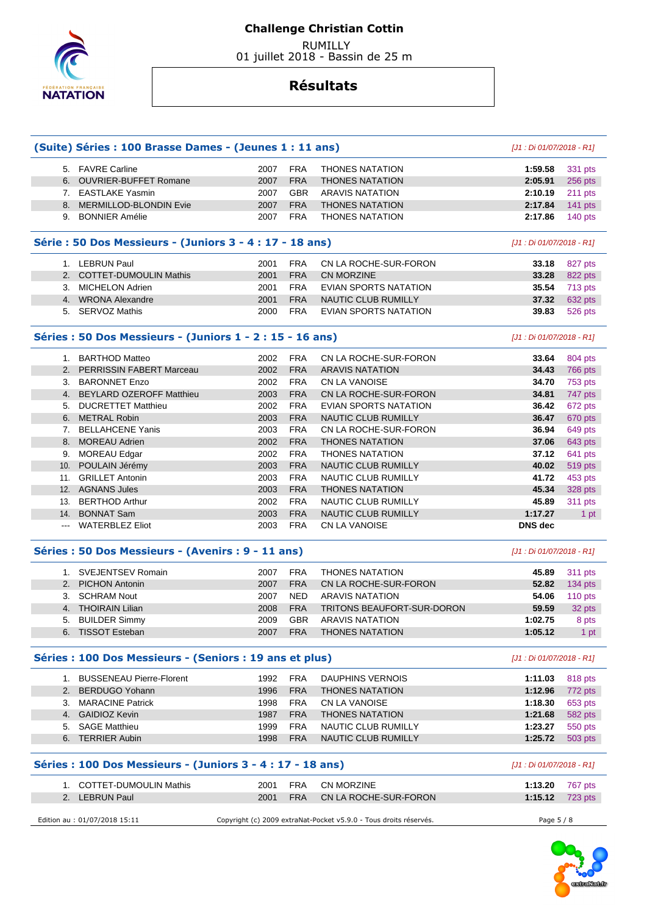

 RUMILLY 01 juillet 2018 - Bassin de 25 m

|    | (Suite) Séries : 100 Brasse Dames - (Jeunes 1 : 11 ans)    |      |            |                                                                   | $[J1:Di 01/07/2018 - R1]$ |                |
|----|------------------------------------------------------------|------|------------|-------------------------------------------------------------------|---------------------------|----------------|
|    | 5. FAVRE Carline                                           | 2007 | <b>FRA</b> | <b>THONES NATATION</b>                                            | 1:59.58                   | 331 pts        |
|    | 6. OUVRIER-BUFFET Romane                                   | 2007 | <b>FRA</b> | <b>THONES NATATION</b>                                            | 2:05.91                   | 256 pts        |
|    | 7. EASTLAKE Yasmin                                         | 2007 | <b>GBR</b> | <b>ARAVIS NATATION</b>                                            | 2:10.19                   | 211 pts        |
|    | 8. MERMILLOD-BLONDIN Evie                                  | 2007 | <b>FRA</b> | <b>THONES NATATION</b>                                            | 2:17.84                   | 141 pts        |
|    | 9. BONNIER Amélie                                          | 2007 | <b>FRA</b> | <b>THONES NATATION</b>                                            | 2:17.86                   | 140 $pts$      |
|    | Série : 50 Dos Messieurs - (Juniors 3 - 4 : 17 - 18 ans)   |      |            |                                                                   | [J1 : Di 01/07/2018 - R1] |                |
|    | 1. LEBRUN Paul                                             | 2001 | <b>FRA</b> | CN LA ROCHE-SUR-FORON                                             | 33.18                     | 827 pts        |
|    | 2. COTTET-DUMOULIN Mathis                                  | 2001 | <b>FRA</b> | <b>CN MORZINE</b>                                                 | 33.28                     | 822 pts        |
|    | 3. MICHELON Adrien                                         | 2001 | <b>FRA</b> | EVIAN SPORTS NATATION                                             | 35.54                     | 713 pts        |
|    | 4. WRONA Alexandre                                         | 2001 | <b>FRA</b> | NAUTIC CLUB RUMILLY                                               | 37.32                     | 632 pts        |
|    | 5. SERVOZ Mathis                                           | 2000 | <b>FRA</b> | EVIAN SPORTS NATATION                                             | 39.83                     | 526 pts        |
|    | Séries : 50 Dos Messieurs - (Juniors 1 - 2 : 15 - 16 ans)  |      |            |                                                                   | [J1 : Di 01/07/2018 - R1] |                |
|    | 1. BARTHOD Matteo                                          | 2002 | <b>FRA</b> | CN LA ROCHE-SUR-FORON                                             | 33.64                     | 804 pts        |
|    | 2. PERRISSIN FABERT Marceau                                | 2002 | <b>FRA</b> | <b>ARAVIS NATATION</b>                                            | 34.43                     | <b>766 pts</b> |
|    | 3. BARONNET Enzo                                           | 2002 | <b>FRA</b> | <b>CN LA VANOISE</b>                                              | 34.70                     | 753 pts        |
|    | 4. BEYLARD OZEROFF Matthieu                                | 2003 | <b>FRA</b> | CN LA ROCHE-SUR-FORON                                             | 34.81                     | 747 pts        |
|    | 5. DUCRETTET Matthieu                                      | 2002 | <b>FRA</b> | <b>EVIAN SPORTS NATATION</b>                                      | 36.42                     | 672 pts        |
|    | 6. METRAL Robin                                            | 2003 | <b>FRA</b> | NAUTIC CLUB RUMILLY                                               | 36.47                     | 670 pts        |
|    | 7. BELLAHCENE Yanis                                        | 2003 | <b>FRA</b> | CN LA ROCHE-SUR-FORON                                             | 36.94                     | 649 pts        |
|    | 8. MOREAU Adrien                                           | 2002 | <b>FRA</b> | <b>THONES NATATION</b>                                            | 37.06                     | 643 pts        |
|    | 9. MOREAU Edgar                                            | 2002 | <b>FRA</b> | <b>THONES NATATION</b>                                            | 37.12                     | 641 pts        |
|    | 10. POULAIN Jérémy                                         | 2003 | <b>FRA</b> | NAUTIC CLUB RUMILLY                                               | 40.02                     | 519 pts        |
|    | 11. GRILLET Antonin                                        | 2003 | <b>FRA</b> | NAUTIC CLUB RUMILLY                                               | 41.72                     | 453 pts        |
|    | 12. AGNANS Jules                                           | 2003 | <b>FRA</b> | <b>THONES NATATION</b>                                            | 45.34                     | 328 pts        |
|    | 13. BERTHOD Arthur                                         | 2002 | <b>FRA</b> | NAUTIC CLUB RUMILLY                                               | 45.89                     | 311 pts        |
|    | 14. BONNAT Sam                                             | 2003 | <b>FRA</b> | NAUTIC CLUB RUMILLY                                               | 1:17.27                   | 1 pt           |
|    | --- WATERBLEZ Eliot                                        | 2003 | <b>FRA</b> | <b>CN LA VANOISE</b>                                              | <b>DNS</b> dec            |                |
|    | Séries : 50 Dos Messieurs - (Avenirs : 9 - 11 ans)         |      |            |                                                                   | [J1 : Di 01/07/2018 - R1] |                |
|    | 1. SVEJENTSEV Romain                                       | 2007 | <b>FRA</b> | <b>THONES NATATION</b>                                            | 45.89                     | 311 pts        |
|    | 2. PICHON Antonin                                          | 2007 | <b>FRA</b> | CN LA ROCHE-SUR-FORON                                             | 52.82                     | 134 pts        |
|    | 3. SCHRAM Nout                                             | 2007 | <b>NED</b> | <b>ARAVIS NATATION</b>                                            | 54.06                     | 110 pts        |
|    | 4. THOIRAIN Lilian                                         | 2008 | <b>FRA</b> | TRITONS BEAUFORT-SUR-DORON                                        | 59.59                     | 32 pts         |
| 5. | <b>BUILDER Simmy</b>                                       | 2009 | <b>GBR</b> | <b>ARAVIS NATATION</b>                                            | 1:02.75                   | 8 pts          |
|    | 6. TISSOT Esteban                                          | 2007 | <b>FRA</b> | <b>THONES NATATION</b>                                            | 1:05.12                   | 1 pt           |
|    | Séries : 100 Dos Messieurs - (Seniors : 19 ans et plus)    |      |            |                                                                   | $[J1:Di 01/07/2018 - R1]$ |                |
|    | 1. BUSSENEAU Pierre-Florent                                | 1992 | <b>FRA</b> | <b>DAUPHINS VERNOIS</b>                                           | 1:11.03                   | 818 pts        |
|    | 2. BERDUGO Yohann                                          | 1996 | <b>FRA</b> | <b>THONES NATATION</b>                                            | 1:12.96                   | 772 pts        |
|    | 3. MARACINE Patrick                                        | 1998 | <b>FRA</b> | CN LA VANOISE                                                     | 1:18.30                   | 653 pts        |
|    | 4. GAIDIOZ Kevin                                           | 1987 | <b>FRA</b> | <b>THONES NATATION</b>                                            | 1:21.68                   | 582 pts        |
|    | 5. SAGE Matthieu                                           | 1999 | <b>FRA</b> | NAUTIC CLUB RUMILLY                                               | 1:23.27                   | 550 pts        |
|    | 6. TERRIER Aubin                                           | 1998 | <b>FRA</b> | NAUTIC CLUB RUMILLY                                               | 1:25.72                   | 503 pts        |
|    | Séries : 100 Dos Messieurs - (Juniors 3 - 4 : 17 - 18 ans) |      |            |                                                                   | [J1 : Di 01/07/2018 - R1] |                |
|    | 1. COTTET-DUMOULIN Mathis                                  | 2001 | <b>FRA</b> | <b>CN MORZINE</b>                                                 | 1:13.20                   | 767 pts        |
|    | 2. LEBRUN Paul                                             | 2001 | <b>FRA</b> | CN LA ROCHE-SUR-FORON                                             | 1:15.12                   | 723 pts        |
|    |                                                            |      |            |                                                                   |                           |                |
|    | Edition au : 01/07/2018 15:11                              |      |            | Copyright (c) 2009 extraNat-Pocket v5.9.0 - Tous droits réservés. | Page 5 / 8                |                |

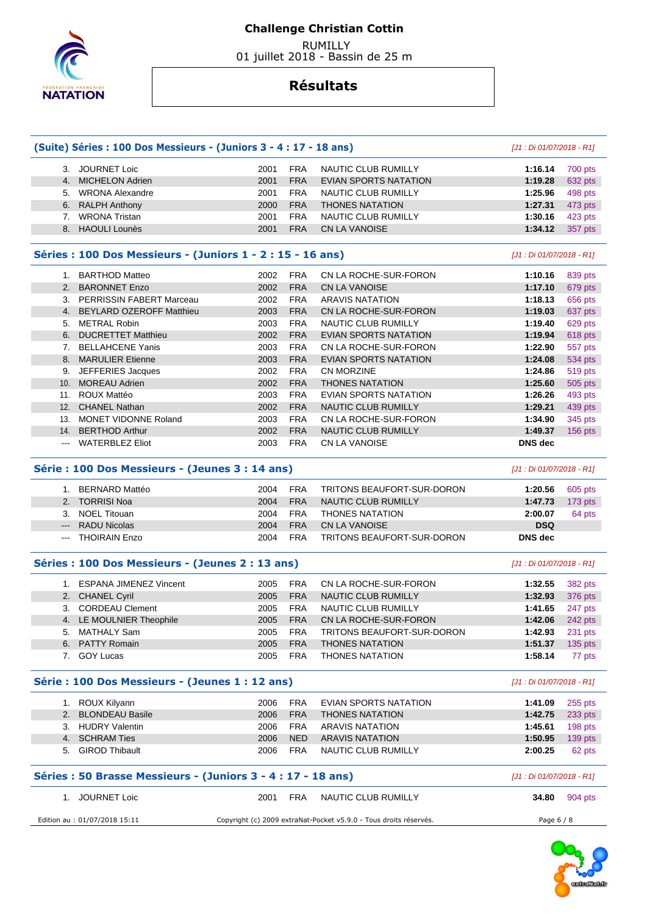

 RUMILLY 01 juillet 2018 - Bassin de 25 m

|               | (Suite) Séries : 100 Dos Messieurs - (Juniors 3 - 4 : 17 - 18 ans) |              |                          |                                                    | [J1 : Di 01/07/2018 - R1] |                |
|---------------|--------------------------------------------------------------------|--------------|--------------------------|----------------------------------------------------|---------------------------|----------------|
|               | 3. JOURNET Loic                                                    | 2001         | <b>FRA</b>               | NAUTIC CLUB RUMILLY                                | 1:16.14                   | 700 pts        |
|               | 4. MICHELON Adrien                                                 | 2001         | <b>FRA</b>               | <b>EVIAN SPORTS NATATION</b>                       | 1:19.28                   | 632 pts        |
|               | 5. WRONA Alexandre                                                 | 2001         | <b>FRA</b>               | <b>NAUTIC CLUB RUMILLY</b>                         | 1:25.96                   | 498 pts        |
| 6.            | <b>RALPH Anthony</b>                                               | 2000         | <b>FRA</b>               | <b>THONES NATATION</b>                             | 1:27.31                   | 473 pts        |
| 7.            | <b>WRONA Tristan</b>                                               | 2001         | <b>FRA</b>               | <b>NAUTIC CLUB RUMILLY</b>                         | 1:30.16                   | 423 pts        |
| 8.            | <b>HAOULI Lounès</b>                                               | 2001         | <b>FRA</b>               | <b>CN LA VANOISE</b>                               | 1:34.12                   | 357 pts        |
|               | Séries : 100 Dos Messieurs - (Juniors 1 - 2 : 15 - 16 ans)         |              |                          |                                                    | [J1 : Di 01/07/2018 - R1] |                |
|               | 1. BARTHOD Matteo                                                  | 2002         | <b>FRA</b>               | CN LA ROCHE-SUR-FORON                              | 1:10.16                   | 839 pts        |
| 2.            | <b>BARONNET Enzo</b>                                               | 2002         | <b>FRA</b>               | <b>CN LA VANOISE</b>                               | 1:17.10                   | 679 pts        |
|               | 3. PERRISSIN FABERT Marceau                                        | 2002         | <b>FRA</b>               | <b>ARAVIS NATATION</b>                             | 1:18.13                   | 656 pts        |
|               | 4. BEYLARD OZEROFF Matthieu                                        | 2003         | <b>FRA</b>               | CN LA ROCHE-SUR-FORON                              | 1:19.03                   | 637 pts        |
|               | 5. METRAL Robin                                                    | 2003         | <b>FRA</b>               | NAUTIC CLUB RUMILLY                                | 1:19.40                   | 629 pts        |
| 6.            | <b>DUCRETTET Matthieu</b>                                          | 2002         | <b>FRA</b>               | <b>EVIAN SPORTS NATATION</b>                       | 1:19.94                   | 618 pts        |
| 7.            | <b>BELLAHCENE Yanis</b>                                            | 2003         | <b>FRA</b>               | CN LA ROCHE-SUR-FORON                              | 1:22.90                   | 557 pts        |
| 8.            | <b>MARULIER Etienne</b>                                            | 2003         | <b>FRA</b>               | <b>EVIAN SPORTS NATATION</b>                       | 1:24.08                   | 534 pts        |
| 9.            | JEFFERIES Jacques                                                  | 2002         | <b>FRA</b>               | CN MORZINE                                         | 1:24.86                   | 519 pts        |
| 10.           | <b>MOREAU Adrien</b>                                               | 2002         | <b>FRA</b>               | <b>THONES NATATION</b>                             | 1:25.60                   | 505 pts        |
|               | 11. ROUX Mattéo                                                    | 2003         | <b>FRA</b>               | EVIAN SPORTS NATATION                              | 1:26.26                   | 493 pts        |
|               | <b>CHANEL Nathan</b>                                               |              | <b>FRA</b>               |                                                    |                           |                |
| 12.           | MONET VIDONNE Roland                                               | 2002         | <b>FRA</b>               | <b>NAUTIC CLUB RUMILLY</b>                         | 1:29.21                   | 439 pts        |
| 13.           |                                                                    | 2003         |                          | CN LA ROCHE-SUR-FORON                              | 1:34.90                   | 345 pts        |
| 14.<br>$\sim$ | <b>BERTHOD Arthur</b><br><b>WATERBLEZ Eliot</b>                    | 2002<br>2003 | <b>FRA</b><br><b>FRA</b> | <b>NAUTIC CLUB RUMILLY</b><br><b>CN LA VANOISE</b> | 1:49.37<br><b>DNS</b> dec | 156 pts        |
|               | Série : 100 Dos Messieurs - (Jeunes 3 : 14 ans)                    |              |                          |                                                    | [J1 : Di 01/07/2018 - R1] |                |
|               | 1. BERNARD Mattéo                                                  | 2004         | <b>FRA</b>               | TRITONS BEAUFORT-SUR-DORON                         | 1:20.56                   | 605 pts        |
| 2.            | <b>TORRISI Noa</b>                                                 | 2004         | <b>FRA</b>               | <b>NAUTIC CLUB RUMILLY</b>                         | 1:47.73                   | 173 pts        |
| 3.            | <b>NOEL Titouan</b>                                                | 2004         | <b>FRA</b>               | <b>THONES NATATION</b>                             | 2:00.07                   | 64 pts         |
| $---$         | <b>RADU Nicolas</b>                                                | 2004         | <b>FRA</b>               | <b>CN LA VANOISE</b>                               | <b>DSQ</b>                |                |
| $\sim$        | <b>THOIRAIN Enzo</b>                                               | 2004         | <b>FRA</b>               | TRITONS BEAUFORT-SUR-DORON                         | <b>DNS</b> dec            |                |
|               | Séries : 100 Dos Messieurs - (Jeunes 2 : 13 ans)                   |              |                          |                                                    | [J1 : Di 01/07/2018 - R1] |                |
|               | 1. ESPANA JIMENEZ Vincent                                          | 2005         | <b>FRA</b>               | CN LA ROCHE-SUR-FORON                              | 1:32.55                   | 382 pts        |
|               | 2. CHANEL Cyril                                                    | 2005         | <b>FRA</b>               | <b>NAUTIC CLUB RUMILLY</b>                         | 1:32.93                   | 376 pts        |
|               | 3. CORDEAU Clement                                                 | 2005         | <b>FRA</b>               | <b>NAUTIC CLUB RUMILLY</b>                         | 1:41.65                   | 247 pts        |
|               | 4. LE MOULNIER Theophile                                           | 2005         | <b>FRA</b>               | CN LA ROCHE-SUR-FORON                              | 1:42.06                   | 242 pts        |
|               | 5. MATHALY Sam                                                     | 2005         | <b>FRA</b>               | TRITONS BEAUFORT-SUR-DORON                         | 1:42.93                   | 231 pts        |
|               | 6. PATTY Romain                                                    | 2005         | <b>FRA</b>               | <b>THONES NATATION</b>                             | 1:51.37                   | <b>135 pts</b> |
|               | 7. GOY Lucas                                                       | 2005         | <b>FRA</b>               | <b>THONES NATATION</b>                             | 1:58.14                   | 77 pts         |
|               | Série : 100 Dos Messieurs - (Jeunes 1 : 12 ans)                    |              |                          |                                                    | [J1 : Di 01/07/2018 - R1] |                |
|               | 1. ROUX Kilyann                                                    | 2006         | <b>FRA</b>               | <b>EVIAN SPORTS NATATION</b>                       | 1:41.09                   | 255 pts        |
|               | 2. BLONDEAU Basile                                                 | 2006         | <b>FRA</b>               | <b>THONES NATATION</b>                             | 1:42.75                   | 233 pts        |
|               | 3. HUDRY Valentin                                                  | 2006         | <b>FRA</b>               | <b>ARAVIS NATATION</b>                             | 1:45.61                   | 198 pts        |
|               | 4. SCHRAM Ties                                                     | 2006         | <b>NED</b>               | <b>ARAVIS NATATION</b>                             | 1:50.95                   | 139 pts        |
|               | 5. GIROD Thibault                                                  | 2006         | <b>FRA</b>               | NAUTIC CLUB RUMILLY                                | 2:00.25                   | 62 pts         |
|               | Séries : 50 Brasse Messieurs - (Juniors 3 - 4 : 17 - 18 ans)       |              |                          |                                                    | [J1 : Di 01/07/2018 - R1] |                |
|               |                                                                    |              |                          |                                                    |                           |                |
|               | 1. JOURNET Loic                                                    | 2001         | <b>FRA</b>               | NAUTIC CLUB RUMILLY                                | 34.80                     | 904 pts        |

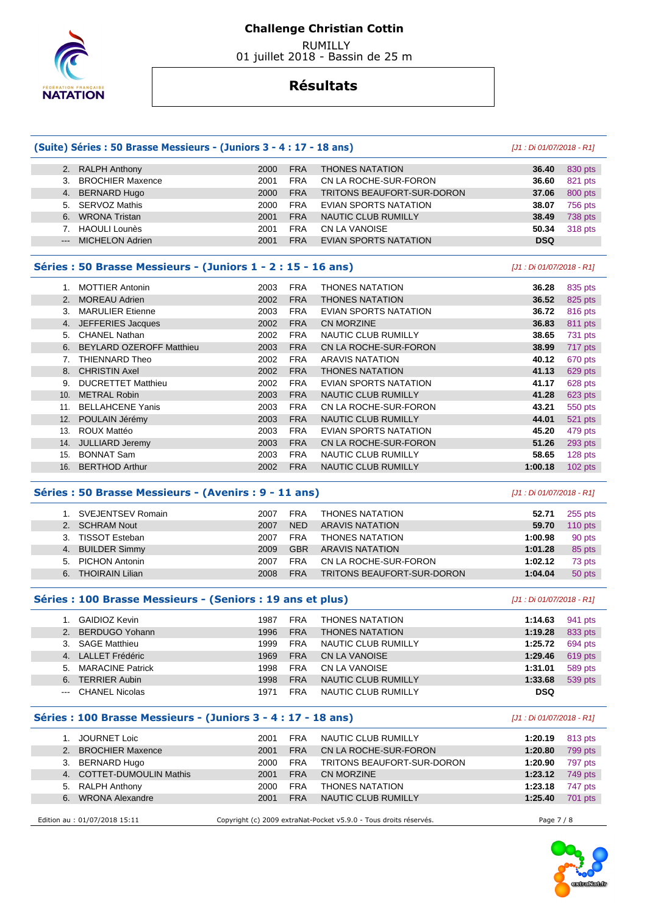

 RUMILLY 01 juillet 2018 - Bassin de 25 m

### **Résultats**

|         | (Suite) Séries : 50 Brasse Messieurs - (Juniors 3 - 4 : 17 - 18 ans) |      |            |                                   |                           |         |  |  |
|---------|----------------------------------------------------------------------|------|------------|-----------------------------------|---------------------------|---------|--|--|
|         | 2. RALPH Anthony                                                     | 2000 | <b>FRA</b> | <b>THONES NATATION</b>            | 36.40                     | 830 pts |  |  |
| 3.      | <b>BROCHIER Maxence</b>                                              | 2001 | <b>FRA</b> | CN LA ROCHE-SUR-FORON             | 36.60                     | 821 pts |  |  |
| 4.      | <b>BERNARD Hugo</b>                                                  | 2000 | <b>FRA</b> | <b>TRITONS BEAUFORT-SUR-DORON</b> | 37.06                     | 800 pts |  |  |
| 5.      | <b>SERVOZ Mathis</b>                                                 | 2000 | <b>FRA</b> | EVIAN SPORTS NATATION             | 38.07                     | 756 pts |  |  |
| 6.      | <b>WRONA Tristan</b>                                                 | 2001 | <b>FRA</b> | <b>NAUTIC CLUB RUMILLY</b>        | 38.49                     | 738 pts |  |  |
|         | <b>HAOULI Lounès</b>                                                 | 2001 | <b>FRA</b> | <b>CN LA VANOISE</b>              | 50.34                     | 318 pts |  |  |
| $---$   | <b>MICHELON Adrien</b>                                               | 2001 | <b>FRA</b> | <b>EVIAN SPORTS NATATION</b>      | <b>DSQ</b>                |         |  |  |
|         |                                                                      |      |            |                                   |                           |         |  |  |
|         | Séries : 50 Brasse Messieurs - (Juniors 1 - 2 : 15 - 16 ans)         |      |            |                                   | [J1 : Di 01/07/2018 - R1] |         |  |  |
|         | <b>MOTTIER Antonin</b>                                               | 2003 | <b>FRA</b> | THONES NATATION                   | 36.28                     | 835 pts |  |  |
|         | 2. MOREAU Adrien                                                     | 2002 | <b>FRA</b> | <b>THONES NATATION</b>            | 36.52                     | 825 pts |  |  |
| $3_{-}$ | <b>MARULIER Etienne</b>                                              | 2003 | <b>FRA</b> | EVIAN SPORTS NATATION             | 36.72                     | 816 pts |  |  |
|         | 4. JEFFERIES Jacques                                                 | 2002 | <b>FRA</b> | <b>CN MORZINE</b>                 | 36.83                     | 811 pts |  |  |

|     | 5. CHANEL Nathan            | 2002 | <b>FRA</b> | NAUTIC CLUB RUMILLY    | 38.65   | 731 pts   |
|-----|-----------------------------|------|------------|------------------------|---------|-----------|
|     | 6. BEYLARD OZEROFF Matthieu | 2003 | <b>FRA</b> | CN LA ROCHE-SUR-FORON  | 38.99   | 717 pts   |
|     | THIENNARD Theo              | 2002 | <b>FRA</b> | ARAVIS NATATION        | 40.12   | 670 pts   |
|     | 8. CHRISTIN Axel            | 2002 | <b>FRA</b> | <b>THONES NATATION</b> | 41.13   | 629 pts   |
|     | 9. DUCRETTET Matthieu       | 2002 | <b>FRA</b> | EVIAN SPORTS NATATION  | 41.17   | 628 pts   |
|     | 10. METRAL Robin            | 2003 | <b>FRA</b> | NAUTIC CLUB RUMILLY    | 41.28   | 623 pts   |
|     | 11. BELLAHCENE Yanis        | 2003 | <b>FRA</b> | CN LA ROCHE-SUR-FORON  | 43.21   | 550 pts   |
|     | 12. POULAIN Jérémy          | 2003 | <b>FRA</b> | NAUTIC CLUB RUMILLY    | 44.01   | 521 pts   |
| 13. | ROUX Mattéo                 | 2003 | <b>FRA</b> | EVIAN SPORTS NATATION  | 45.20   | 479 pts   |
| 14. | JULLIARD Jeremy             | 2003 | <b>FRA</b> | CN LA ROCHE-SUR-FORON  | 51.26   | 293 pts   |
| 15. | <b>BONNAT Sam</b>           | 2003 | <b>FRA</b> | NAUTIC CLUB RUMILLY    | 58.65   | 128 pts   |
| 16. | <b>BERTHOD Arthur</b>       | 2002 | <b>FRA</b> | NAUTIC CLUB RUMILLY    | 1:00.18 | $102$ pts |
|     |                             |      |            |                        |         |           |

### **Séries : 50 Brasse Messieurs - (Avenirs : 9 - 11 ans)** [J1 : Di 01/07/2018 - R1]

|    | 1. SVEJENTSEV Romain   | 2007 | <b>FRA</b> | <b>THONES NATATION</b>     | 52.71   | $255$ pts |
|----|------------------------|------|------------|----------------------------|---------|-----------|
|    | 2. SCHRAM Nout         | 2007 | <b>NED</b> | ARAVIS NATATION            | 59.70   | $110$ pts |
| 3. | <b>TISSOT Esteban</b>  | 2007 | <b>FRA</b> | <b>THONES NATATION</b>     | 1:00.98 | 90 pts    |
|    | 4. BUILDER Simmy       | 2009 | <b>GBR</b> | ARAVIS NATATION            | 1:01.28 | 85 pts    |
| 5. | <b>PICHON Antonin</b>  | 2007 | <b>FRA</b> | CN LA ROCHE-SUR-FORON      | 1:02.12 | 73 pts    |
| 6. | <b>THOIRAIN Lilian</b> | 2008 | <b>FRA</b> | TRITONS BEAUFORT-SUR-DORON | 1:04.04 | 50 pts    |
|    |                        |      |            |                            |         |           |

#### **Séries : 100 Brasse Messieurs - (Seniors : 19 ans et plus)** [J1 : Di 01/07/2018 - R1]

|         | GAIDIOZ Kevin        | 1987 | <b>FRA</b> | <b>THONES NATATION</b> | 1:14.63    | 941 pts |
|---------|----------------------|------|------------|------------------------|------------|---------|
|         | 2. BERDUGO Yohann    | 1996 | <b>FRA</b> | <b>THONES NATATION</b> | 1:19.28    | 833 pts |
|         | 3. SAGE Matthieu     | 1999 | <b>FRA</b> | NAUTIC CLUB RUMILLY    | 1:25.72    | 694 pts |
|         | 4. LALLET Frédéric   | 1969 | <b>FRA</b> | CN LA VANOISE          | 1:29.46    | 619 pts |
|         | 5. MARACINE Patrick  | 1998 | <b>FRA</b> | CN LA VANOISE          | 1:31.01    | 589 pts |
| 6.      | <b>TERRIER Aubin</b> | 1998 | <b>FRA</b> | NAUTIC CLUB RUMILLY    | 1:33.68    | 539 pts |
| $   \,$ | CHANEL Nicolas       | 1971 | <b>FRA</b> | NAUTIC CLUB RUMILLY    | <b>DSQ</b> |         |

### **Séries : 100 Brasse Messieurs - (Juniors 3 - 4 : 17 - 18 ans)** [J1 : Di 01/07/2018 - R1]

|                               | JOURNET Loic                  | 2001                                                              | <b>FRA</b> | NAUTIC CLUB RUMILLY        | 1:20.19    | 813 pts |
|-------------------------------|-------------------------------|-------------------------------------------------------------------|------------|----------------------------|------------|---------|
|                               | <b>BROCHIER Maxence</b>       | 2001                                                              | <b>FRA</b> | CN LA ROCHE-SUR-FORON      | 1:20.80    | 799 pts |
| 3.                            | BERNARD Hugo                  | 2000                                                              | <b>FRA</b> | TRITONS BEAUFORT-SUR-DORON | 1:20.90    | 797 pts |
| 4.                            | <b>COTTET-DUMOULIN Mathis</b> | 2001                                                              | <b>FRA</b> | CN MORZINE                 | 1:23.12    | 749 pts |
| 5.                            | <b>RALPH Anthony</b>          | 2000                                                              | <b>FRA</b> | <b>THONES NATATION</b>     | 1:23.18    | 747 pts |
| 6.                            | <b>WRONA Alexandre</b>        | 2001                                                              | <b>FRA</b> | NAUTIC CLUB RUMILLY        | 1:25.40    | 701 pts |
|                               |                               |                                                                   |            |                            |            |         |
| Edition au : 01/07/2018 15:11 |                               | Copyright (c) 2009 extraNat-Pocket v5.9.0 - Tous droits réservés. |            |                            | Page 7 / 8 |         |